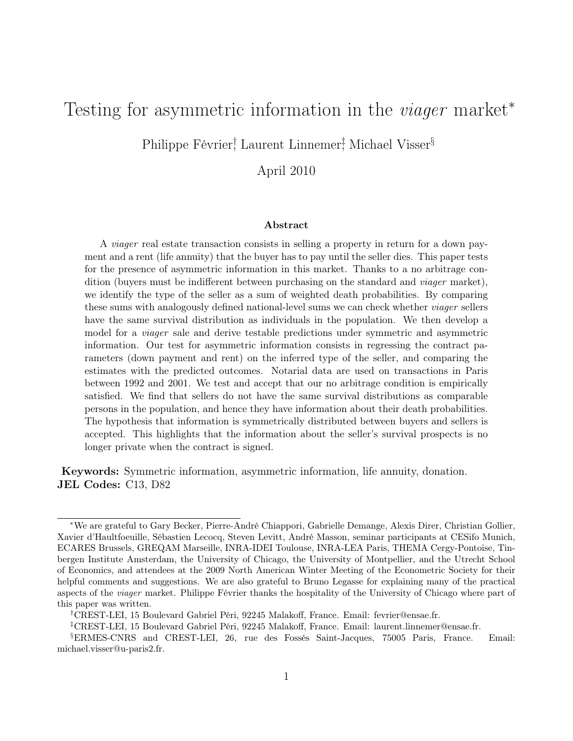# Testing for asymmetric information in the *viager* market<sup>\*</sup>

Philippe Février,<sup>†</sup> Laurent Linnemer<sup>†</sup>, Michael Visser<sup>§</sup>

April 2010

#### Abstract

A viager real estate transaction consists in selling a property in return for a down payment and a rent (life annuity) that the buyer has to pay until the seller dies. This paper tests for the presence of asymmetric information in this market. Thanks to a no arbitrage condition (buyers must be indifferent between purchasing on the standard and viager market), we identify the type of the seller as a sum of weighted death probabilities. By comparing these sums with analogously defined national-level sums we can check whether viager sellers have the same survival distribution as individuals in the population. We then develop a model for a viager sale and derive testable predictions under symmetric and asymmetric information. Our test for asymmetric information consists in regressing the contract parameters (down payment and rent) on the inferred type of the seller, and comparing the estimates with the predicted outcomes. Notarial data are used on transactions in Paris between 1992 and 2001. We test and accept that our no arbitrage condition is empirically satisfied. We find that sellers do not have the same survival distributions as comparable persons in the population, and hence they have information about their death probabilities. The hypothesis that information is symmetrically distributed between buyers and sellers is accepted. This highlights that the information about the seller's survival prospects is no longer private when the contract is signed.

Keywords: Symmetric information, asymmetric information, life annuity, donation. JEL Codes: C13, D82

<sup>∗</sup>We are grateful to Gary Becker, Pierre-André Chiappori, Gabrielle Demange, Alexis Direr, Christian Gollier, Xavier d'Haultfoeuille, Sébastien Lecocq, Steven Levitt, André Masson, seminar participants at CESifo Munich, ECARES Brussels, GREQAM Marseille, INRA-IDEI Toulouse, INRA-LEA Paris, THEMA Cergy-Pontoise, Tinbergen Institute Amsterdam, the University of Chicago, the University of Montpellier, and the Utrecht School of Economics, and attendees at the 2009 North American Winter Meeting of the Econometric Society for their helpful comments and suggestions. We are also grateful to Bruno Legasse for explaining many of the practical aspects of the viager market. Philippe Février thanks the hospitality of the University of Chicago where part of this paper was written.

<sup>†</sup>CREST-LEI, 15 Boulevard Gabriel Péri, 92245 Malakoff, France. Email: fevrier@ensae.fr.

<sup>‡</sup>CREST-LEI, 15 Boulevard Gabriel Péri, 92245 Malakoff, France. Email: laurent.linnemer@ensae.fr.

<sup>§</sup>ERMES-CNRS and CREST-LEI, 26, rue des Fossés Saint-Jacques, 75005 Paris, France. Email: michael.visser@u-paris2.fr.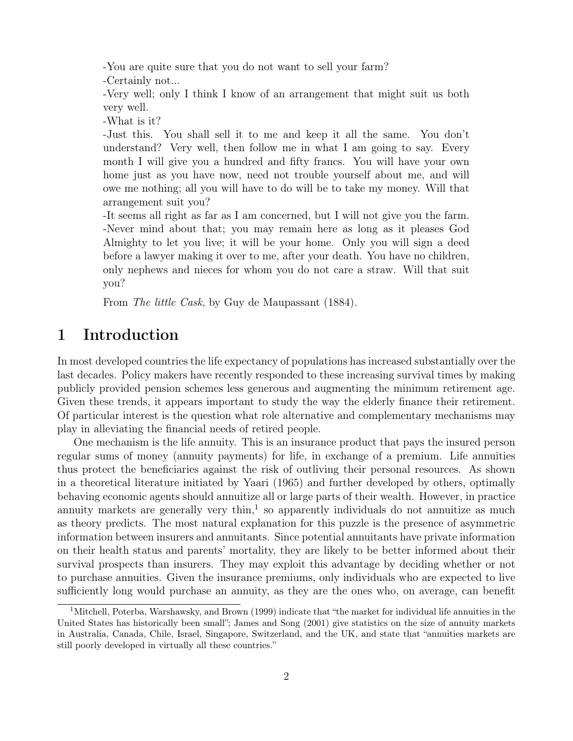-You are quite sure that you do not want to sell your farm?

-Certainly not...

-Very well; only I think I know of an arrangement that might suit us both very well.

-What is it?

-Just this. You shall sell it to me and keep it all the same. You don't understand? Very well, then follow me in what I am going to say. Every month I will give you a hundred and fifty francs. You will have your own home just as you have now, need not trouble yourself about me, and will owe me nothing; all you will have to do will be to take my money. Will that arrangement suit you?

-It seems all right as far as I am concerned, but I will not give you the farm. -Never mind about that; you may remain here as long as it pleases God Almighty to let you live; it will be your home. Only you will sign a deed before a lawyer making it over to me, after your death. You have no children, only nephews and nieces for whom you do not care a straw. Will that suit you?

From The little Cask, by Guy de Maupassant (1884).

# 1 Introduction

In most developed countries the life expectancy of populations has increased substantially over the last decades. Policy makers have recently responded to these increasing survival times by making publicly provided pension schemes less generous and augmenting the minimum retirement age. Given these trends, it appears important to study the way the elderly finance their retirement. Of particular interest is the question what role alternative and complementary mechanisms may play in alleviating the financial needs of retired people.

One mechanism is the life annuity. This is an insurance product that pays the insured person regular sums of money (annuity payments) for life, in exchange of a premium. Life annuities thus protect the beneficiaries against the risk of outliving their personal resources. As shown in a theoretical literature initiated by Yaari (1965) and further developed by others, optimally behaving economic agents should annuitize all or large parts of their wealth. However, in practice annuity markets are generally very thin,<sup>1</sup> so apparently individuals do not annuitize as much as theory predicts. The most natural explanation for this puzzle is the presence of asymmetric information between insurers and annuitants. Since potential annuitants have private information on their health status and parents' mortality, they are likely to be better informed about their survival prospects than insurers. They may exploit this advantage by deciding whether or not to purchase annuities. Given the insurance premiums, only individuals who are expected to live sufficiently long would purchase an annuity, as they are the ones who, on average, can benefit

<sup>&</sup>lt;sup>1</sup>Mitchell, Poterba, Warshawsky, and Brown (1999) indicate that "the market for individual life annuities in the United States has historically been small"; James and Song (2001) give statistics on the size of annuity markets in Australia, Canada, Chile, Israel, Singapore, Switzerland, and the UK, and state that "annuities markets are still poorly developed in virtually all these countries."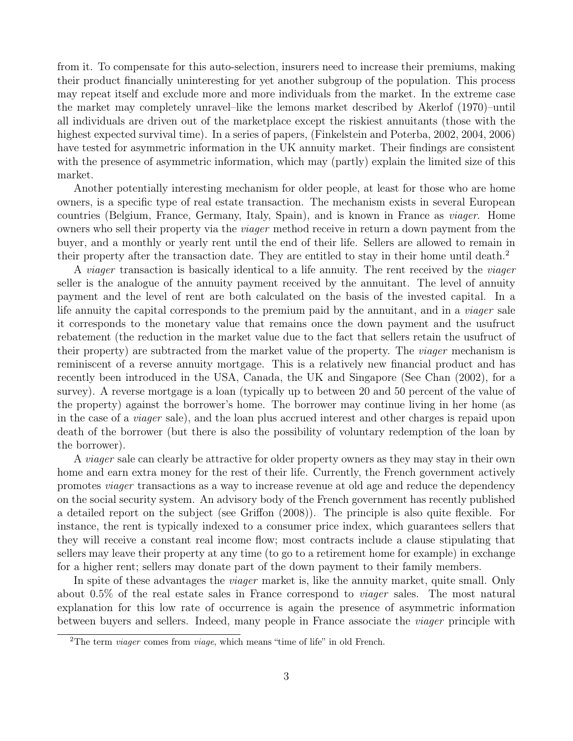from it. To compensate for this auto-selection, insurers need to increase their premiums, making their product financially uninteresting for yet another subgroup of the population. This process may repeat itself and exclude more and more individuals from the market. In the extreme case the market may completely unravel–like the lemons market described by Akerlof (1970)–until all individuals are driven out of the marketplace except the riskiest annuitants (those with the highest expected survival time). In a series of papers, (Finkelstein and Poterba, 2002, 2004, 2006) have tested for asymmetric information in the UK annuity market. Their findings are consistent with the presence of asymmetric information, which may (partly) explain the limited size of this market.

Another potentially interesting mechanism for older people, at least for those who are home owners, is a specific type of real estate transaction. The mechanism exists in several European countries (Belgium, France, Germany, Italy, Spain), and is known in France as viager. Home owners who sell their property via the viager method receive in return a down payment from the buyer, and a monthly or yearly rent until the end of their life. Sellers are allowed to remain in their property after the transaction date. They are entitled to stay in their home until death.<sup>2</sup>

A viager transaction is basically identical to a life annuity. The rent received by the viager seller is the analogue of the annuity payment received by the annuitant. The level of annuity payment and the level of rent are both calculated on the basis of the invested capital. In a life annuity the capital corresponds to the premium paid by the annuitant, and in a *viager* sale it corresponds to the monetary value that remains once the down payment and the usufruct rebatement (the reduction in the market value due to the fact that sellers retain the usufruct of their property) are subtracted from the market value of the property. The viager mechanism is reminiscent of a reverse annuity mortgage. This is a relatively new financial product and has recently been introduced in the USA, Canada, the UK and Singapore (See Chan (2002), for a survey). A reverse mortgage is a loan (typically up to between 20 and 50 percent of the value of the property) against the borrower's home. The borrower may continue living in her home (as in the case of a viager sale), and the loan plus accrued interest and other charges is repaid upon death of the borrower (but there is also the possibility of voluntary redemption of the loan by the borrower).

A *viager* sale can clearly be attractive for older property owners as they may stay in their own home and earn extra money for the rest of their life. Currently, the French government actively promotes viager transactions as a way to increase revenue at old age and reduce the dependency on the social security system. An advisory body of the French government has recently published a detailed report on the subject (see Griffon (2008)). The principle is also quite flexible. For instance, the rent is typically indexed to a consumer price index, which guarantees sellers that they will receive a constant real income flow; most contracts include a clause stipulating that sellers may leave their property at any time (to go to a retirement home for example) in exchange for a higher rent; sellers may donate part of the down payment to their family members.

In spite of these advantages the *viager* market is, like the annuity market, quite small. Only about 0.5% of the real estate sales in France correspond to viager sales. The most natural explanation for this low rate of occurrence is again the presence of asymmetric information between buyers and sellers. Indeed, many people in France associate the viager principle with

<sup>&</sup>lt;sup>2</sup>The term *viager* comes from *viage*, which means "time of life" in old French.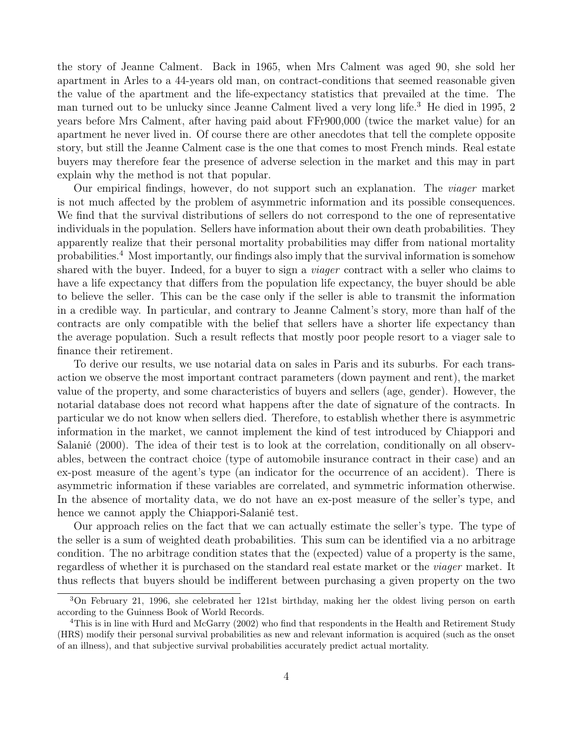the story of Jeanne Calment. Back in 1965, when Mrs Calment was aged 90, she sold her apartment in Arles to a 44-years old man, on contract-conditions that seemed reasonable given the value of the apartment and the life-expectancy statistics that prevailed at the time. The man turned out to be unlucky since Jeanne Calment lived a very long life.<sup>3</sup> He died in 1995, 2 years before Mrs Calment, after having paid about FFr900,000 (twice the market value) for an apartment he never lived in. Of course there are other anecdotes that tell the complete opposite story, but still the Jeanne Calment case is the one that comes to most French minds. Real estate buyers may therefore fear the presence of adverse selection in the market and this may in part explain why the method is not that popular.

Our empirical findings, however, do not support such an explanation. The viager market is not much affected by the problem of asymmetric information and its possible consequences. We find that the survival distributions of sellers do not correspond to the one of representative individuals in the population. Sellers have information about their own death probabilities. They apparently realize that their personal mortality probabilities may differ from national mortality probabilities.<sup>4</sup> Most importantly, our findings also imply that the survival information is somehow shared with the buyer. Indeed, for a buyer to sign a viager contract with a seller who claims to have a life expectancy that differs from the population life expectancy, the buyer should be able to believe the seller. This can be the case only if the seller is able to transmit the information in a credible way. In particular, and contrary to Jeanne Calment's story, more than half of the contracts are only compatible with the belief that sellers have a shorter life expectancy than the average population. Such a result reflects that mostly poor people resort to a viager sale to finance their retirement.

To derive our results, we use notarial data on sales in Paris and its suburbs. For each transaction we observe the most important contract parameters (down payment and rent), the market value of the property, and some characteristics of buyers and sellers (age, gender). However, the notarial database does not record what happens after the date of signature of the contracts. In particular we do not know when sellers died. Therefore, to establish whether there is asymmetric information in the market, we cannot implement the kind of test introduced by Chiappori and Salanié (2000). The idea of their test is to look at the correlation, conditionally on all observables, between the contract choice (type of automobile insurance contract in their case) and an ex-post measure of the agent's type (an indicator for the occurrence of an accident). There is asymmetric information if these variables are correlated, and symmetric information otherwise. In the absence of mortality data, we do not have an ex-post measure of the seller's type, and hence we cannot apply the Chiappori-Salanié test.

Our approach relies on the fact that we can actually estimate the seller's type. The type of the seller is a sum of weighted death probabilities. This sum can be identified via a no arbitrage condition. The no arbitrage condition states that the (expected) value of a property is the same, regardless of whether it is purchased on the standard real estate market or the viager market. It thus reflects that buyers should be indifferent between purchasing a given property on the two

<sup>3</sup>On February 21, 1996, she celebrated her 121st birthday, making her the oldest living person on earth according to the Guinness Book of World Records.

<sup>&</sup>lt;sup>4</sup>This is in line with Hurd and McGarry (2002) who find that respondents in the Health and Retirement Study (HRS) modify their personal survival probabilities as new and relevant information is acquired (such as the onset of an illness), and that subjective survival probabilities accurately predict actual mortality.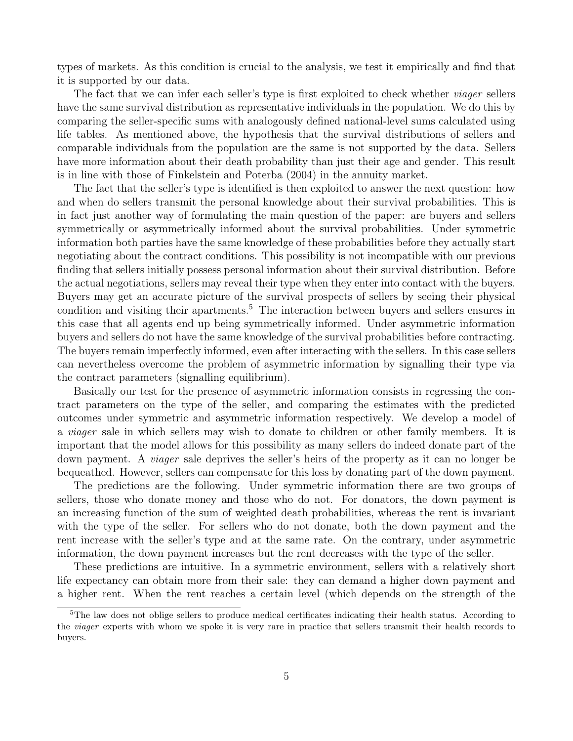types of markets. As this condition is crucial to the analysis, we test it empirically and find that it is supported by our data.

The fact that we can infer each seller's type is first exploited to check whether *viager* sellers have the same survival distribution as representative individuals in the population. We do this by comparing the seller-specific sums with analogously defined national-level sums calculated using life tables. As mentioned above, the hypothesis that the survival distributions of sellers and comparable individuals from the population are the same is not supported by the data. Sellers have more information about their death probability than just their age and gender. This result is in line with those of Finkelstein and Poterba (2004) in the annuity market.

The fact that the seller's type is identified is then exploited to answer the next question: how and when do sellers transmit the personal knowledge about their survival probabilities. This is in fact just another way of formulating the main question of the paper: are buyers and sellers symmetrically or asymmetrically informed about the survival probabilities. Under symmetric information both parties have the same knowledge of these probabilities before they actually start negotiating about the contract conditions. This possibility is not incompatible with our previous finding that sellers initially possess personal information about their survival distribution. Before the actual negotiations, sellers may reveal their type when they enter into contact with the buyers. Buyers may get an accurate picture of the survival prospects of sellers by seeing their physical condition and visiting their apartments.<sup>5</sup> The interaction between buyers and sellers ensures in this case that all agents end up being symmetrically informed. Under asymmetric information buyers and sellers do not have the same knowledge of the survival probabilities before contracting. The buyers remain imperfectly informed, even after interacting with the sellers. In this case sellers can nevertheless overcome the problem of asymmetric information by signalling their type via the contract parameters (signalling equilibrium).

Basically our test for the presence of asymmetric information consists in regressing the contract parameters on the type of the seller, and comparing the estimates with the predicted outcomes under symmetric and asymmetric information respectively. We develop a model of a viager sale in which sellers may wish to donate to children or other family members. It is important that the model allows for this possibility as many sellers do indeed donate part of the down payment. A *viager* sale deprives the seller's heirs of the property as it can no longer be bequeathed. However, sellers can compensate for this loss by donating part of the down payment.

The predictions are the following. Under symmetric information there are two groups of sellers, those who donate money and those who do not. For donators, the down payment is an increasing function of the sum of weighted death probabilities, whereas the rent is invariant with the type of the seller. For sellers who do not donate, both the down payment and the rent increase with the seller's type and at the same rate. On the contrary, under asymmetric information, the down payment increases but the rent decreases with the type of the seller.

These predictions are intuitive. In a symmetric environment, sellers with a relatively short life expectancy can obtain more from their sale: they can demand a higher down payment and a higher rent. When the rent reaches a certain level (which depends on the strength of the

<sup>5</sup>The law does not oblige sellers to produce medical certificates indicating their health status. According to the viager experts with whom we spoke it is very rare in practice that sellers transmit their health records to buyers.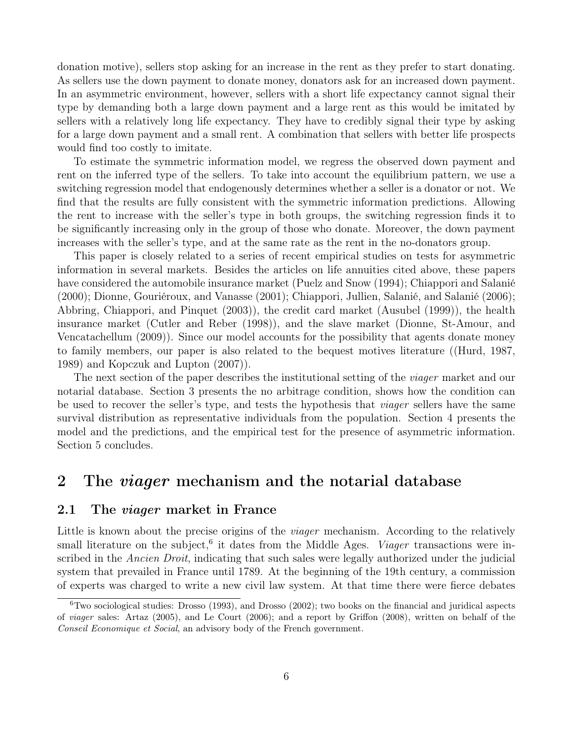donation motive), sellers stop asking for an increase in the rent as they prefer to start donating. As sellers use the down payment to donate money, donators ask for an increased down payment. In an asymmetric environment, however, sellers with a short life expectancy cannot signal their type by demanding both a large down payment and a large rent as this would be imitated by sellers with a relatively long life expectancy. They have to credibly signal their type by asking for a large down payment and a small rent. A combination that sellers with better life prospects would find too costly to imitate.

To estimate the symmetric information model, we regress the observed down payment and rent on the inferred type of the sellers. To take into account the equilibrium pattern, we use a switching regression model that endogenously determines whether a seller is a donator or not. We find that the results are fully consistent with the symmetric information predictions. Allowing the rent to increase with the seller's type in both groups, the switching regression finds it to be significantly increasing only in the group of those who donate. Moreover, the down payment increases with the seller's type, and at the same rate as the rent in the no-donators group.

This paper is closely related to a series of recent empirical studies on tests for asymmetric information in several markets. Besides the articles on life annuities cited above, these papers have considered the automobile insurance market (Puelz and Snow (1994); Chiappori and Salanié (2000); Dionne, Gouriéroux, and Vanasse (2001); Chiappori, Jullien, Salanié, and Salanié (2006); Abbring, Chiappori, and Pinquet (2003)), the credit card market (Ausubel (1999)), the health insurance market (Cutler and Reber (1998)), and the slave market (Dionne, St-Amour, and Vencatachellum (2009)). Since our model accounts for the possibility that agents donate money to family members, our paper is also related to the bequest motives literature ((Hurd, 1987, 1989) and Kopczuk and Lupton (2007)).

The next section of the paper describes the institutional setting of the *viager* market and our notarial database. Section 3 presents the no arbitrage condition, shows how the condition can be used to recover the seller's type, and tests the hypothesis that *viager* sellers have the same survival distribution as representative individuals from the population. Section 4 presents the model and the predictions, and the empirical test for the presence of asymmetric information. Section 5 concludes.

### 2 The *viager* mechanism and the notarial database

### 2.1 The viager market in France

Little is known about the precise origins of the *viager* mechanism. According to the relatively small literature on the subject,<sup>6</sup> it dates from the Middle Ages. *Viager* transactions were inscribed in the Ancien Droit, indicating that such sales were legally authorized under the judicial system that prevailed in France until 1789. At the beginning of the 19th century, a commission of experts was charged to write a new civil law system. At that time there were fierce debates

 $6$ Two sociological studies: Drosso (1993), and Drosso (2002); two books on the financial and juridical aspects of viager sales: Artaz (2005), and Le Court (2006); and a report by Griffon (2008), written on behalf of the Conseil Economique et Social, an advisory body of the French government.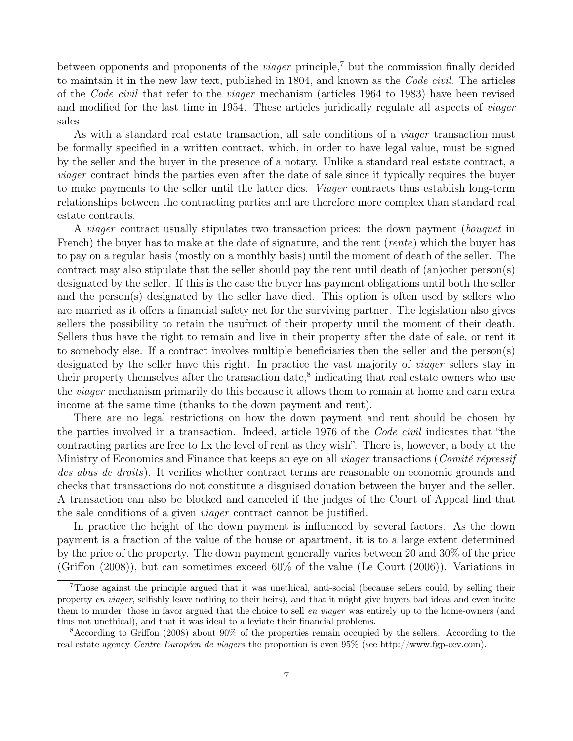between opponents and proponents of the *viager* principle,<sup>7</sup> but the commission finally decided to maintain it in the new law text, published in 1804, and known as the Code civil. The articles of the Code civil that refer to the viager mechanism (articles 1964 to 1983) have been revised and modified for the last time in 1954. These articles juridically regulate all aspects of viager sales.

As with a standard real estate transaction, all sale conditions of a *viager* transaction must be formally specified in a written contract, which, in order to have legal value, must be signed by the seller and the buyer in the presence of a notary. Unlike a standard real estate contract, a viager contract binds the parties even after the date of sale since it typically requires the buyer to make payments to the seller until the latter dies. *Viager* contracts thus establish long-term relationships between the contracting parties and are therefore more complex than standard real estate contracts.

A *viager* contract usually stipulates two transaction prices: the down payment (*bouquet* in French) the buyer has to make at the date of signature, and the rent *(rente)* which the buyer has to pay on a regular basis (mostly on a monthly basis) until the moment of death of the seller. The contract may also stipulate that the seller should pay the rent until death of (an)other person(s) designated by the seller. If this is the case the buyer has payment obligations until both the seller and the person(s) designated by the seller have died. This option is often used by sellers who are married as it offers a financial safety net for the surviving partner. The legislation also gives sellers the possibility to retain the usufruct of their property until the moment of their death. Sellers thus have the right to remain and live in their property after the date of sale, or rent it to somebody else. If a contract involves multiple beneficiaries then the seller and the person(s) designated by the seller have this right. In practice the vast majority of viager sellers stay in their property themselves after the transaction date,<sup>8</sup> indicating that real estate owners who use the viager mechanism primarily do this because it allows them to remain at home and earn extra income at the same time (thanks to the down payment and rent).

There are no legal restrictions on how the down payment and rent should be chosen by the parties involved in a transaction. Indeed, article 1976 of the Code civil indicates that "the contracting parties are free to fix the level of rent as they wish". There is, however, a body at the Ministry of Economics and Finance that keeps an eye on all *viager* transactions (*Comité répressif* des abus de droits). It verifies whether contract terms are reasonable on economic grounds and checks that transactions do not constitute a disguised donation between the buyer and the seller. A transaction can also be blocked and canceled if the judges of the Court of Appeal find that the sale conditions of a given viager contract cannot be justified.

In practice the height of the down payment is influenced by several factors. As the down payment is a fraction of the value of the house or apartment, it is to a large extent determined by the price of the property. The down payment generally varies between 20 and 30% of the price (Griffon (2008)), but can sometimes exceed 60% of the value (Le Court (2006)). Variations in

<sup>7</sup>Those against the principle argued that it was unethical, anti-social (because sellers could, by selling their property en viager, selfishly leave nothing to their heirs), and that it might give buyers bad ideas and even incite them to murder; those in favor argued that the choice to sell en viager was entirely up to the home-owners (and thus not unethical), and that it was ideal to alleviate their financial problems.

<sup>8</sup>According to Griffon (2008) about 90% of the properties remain occupied by the sellers. According to the real estate agency Centre Européen de viagers the proportion is even 95% (see http://www.fgp-cev.com).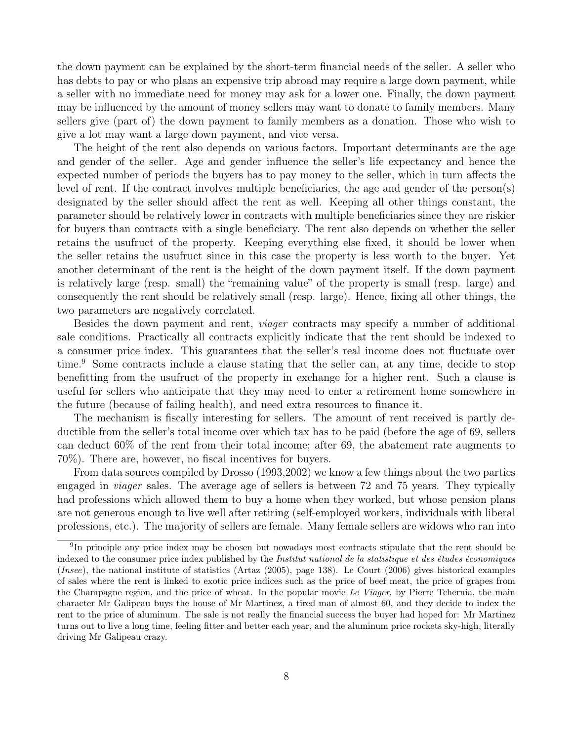the down payment can be explained by the short-term financial needs of the seller. A seller who has debts to pay or who plans an expensive trip abroad may require a large down payment, while a seller with no immediate need for money may ask for a lower one. Finally, the down payment may be influenced by the amount of money sellers may want to donate to family members. Many sellers give (part of) the down payment to family members as a donation. Those who wish to give a lot may want a large down payment, and vice versa.

The height of the rent also depends on various factors. Important determinants are the age and gender of the seller. Age and gender influence the seller's life expectancy and hence the expected number of periods the buyers has to pay money to the seller, which in turn affects the level of rent. If the contract involves multiple beneficiaries, the age and gender of the person(s) designated by the seller should affect the rent as well. Keeping all other things constant, the parameter should be relatively lower in contracts with multiple beneficiaries since they are riskier for buyers than contracts with a single beneficiary. The rent also depends on whether the seller retains the usufruct of the property. Keeping everything else fixed, it should be lower when the seller retains the usufruct since in this case the property is less worth to the buyer. Yet another determinant of the rent is the height of the down payment itself. If the down payment is relatively large (resp. small) the "remaining value" of the property is small (resp. large) and consequently the rent should be relatively small (resp. large). Hence, fixing all other things, the two parameters are negatively correlated.

Besides the down payment and rent, viager contracts may specify a number of additional sale conditions. Practically all contracts explicitly indicate that the rent should be indexed to a consumer price index. This guarantees that the seller's real income does not fluctuate over time.<sup>9</sup> Some contracts include a clause stating that the seller can, at any time, decide to stop benefitting from the usufruct of the property in exchange for a higher rent. Such a clause is useful for sellers who anticipate that they may need to enter a retirement home somewhere in the future (because of failing health), and need extra resources to finance it.

The mechanism is fiscally interesting for sellers. The amount of rent received is partly deductible from the seller's total income over which tax has to be paid (before the age of 69, sellers can deduct 60% of the rent from their total income; after 69, the abatement rate augments to 70%). There are, however, no fiscal incentives for buyers.

From data sources compiled by Drosso (1993,2002) we know a few things about the two parties engaged in viager sales. The average age of sellers is between 72 and 75 years. They typically had professions which allowed them to buy a home when they worked, but whose pension plans are not generous enough to live well after retiring (self-employed workers, individuals with liberal professions, etc.). The majority of sellers are female. Many female sellers are widows who ran into

<sup>&</sup>lt;sup>9</sup>In principle any price index may be chosen but nowadays most contracts stipulate that the rent should be indexed to the consumer price index published by the Institut national de la statistique et des études économiques (Insee), the national institute of statistics (Artaz (2005), page 138). Le Court (2006) gives historical examples of sales where the rent is linked to exotic price indices such as the price of beef meat, the price of grapes from the Champagne region, and the price of wheat. In the popular movie Le Viager, by Pierre Tchernia, the main character Mr Galipeau buys the house of Mr Martinez, a tired man of almost 60, and they decide to index the rent to the price of aluminum. The sale is not really the financial success the buyer had hoped for: Mr Martinez turns out to live a long time, feeling fitter and better each year, and the aluminum price rockets sky-high, literally driving Mr Galipeau crazy.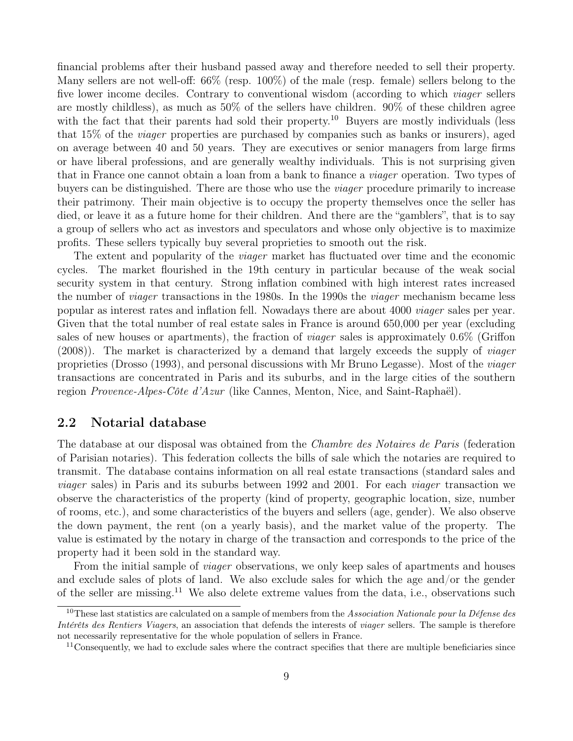financial problems after their husband passed away and therefore needed to sell their property. Many sellers are not well-off: 66% (resp. 100%) of the male (resp. female) sellers belong to the five lower income deciles. Contrary to conventional wisdom (according to which viager sellers are mostly childless), as much as 50% of the sellers have children. 90% of these children agree with the fact that their parents had sold their property.<sup>10</sup> Buyers are mostly individuals (less that 15% of the viager properties are purchased by companies such as banks or insurers), aged on average between 40 and 50 years. They are executives or senior managers from large firms or have liberal professions, and are generally wealthy individuals. This is not surprising given that in France one cannot obtain a loan from a bank to finance a viager operation. Two types of buyers can be distinguished. There are those who use the viager procedure primarily to increase their patrimony. Their main objective is to occupy the property themselves once the seller has died, or leave it as a future home for their children. And there are the "gamblers", that is to say a group of sellers who act as investors and speculators and whose only objective is to maximize profits. These sellers typically buy several proprieties to smooth out the risk.

The extent and popularity of the viager market has fluctuated over time and the economic cycles. The market flourished in the 19th century in particular because of the weak social security system in that century. Strong inflation combined with high interest rates increased the number of viager transactions in the 1980s. In the 1990s the viager mechanism became less popular as interest rates and inflation fell. Nowadays there are about 4000 viager sales per year. Given that the total number of real estate sales in France is around 650,000 per year (excluding sales of new houses or apartments), the fraction of *viager* sales is approximately  $0.6\%$  (Griffon (2008)). The market is characterized by a demand that largely exceeds the supply of viager proprieties (Drosso (1993), and personal discussions with Mr Bruno Legasse). Most of the viager transactions are concentrated in Paris and its suburbs, and in the large cities of the southern region Provence-Alpes-Côte d'Azur (like Cannes, Menton, Nice, and Saint-Raphaël).

#### 2.2 Notarial database

The database at our disposal was obtained from the *Chambre des Notaires de Paris* (federation of Parisian notaries). This federation collects the bills of sale which the notaries are required to transmit. The database contains information on all real estate transactions (standard sales and viager sales) in Paris and its suburbs between 1992 and 2001. For each viager transaction we observe the characteristics of the property (kind of property, geographic location, size, number of rooms, etc.), and some characteristics of the buyers and sellers (age, gender). We also observe the down payment, the rent (on a yearly basis), and the market value of the property. The value is estimated by the notary in charge of the transaction and corresponds to the price of the property had it been sold in the standard way.

From the initial sample of *viager* observations, we only keep sales of apartments and houses and exclude sales of plots of land. We also exclude sales for which the age and/or the gender of the seller are missing.<sup>11</sup> We also delete extreme values from the data, i.e., observations such

<sup>&</sup>lt;sup>10</sup>These last statistics are calculated on a sample of members from the Association Nationale pour la Défense des Intérêts des Rentiers Viagers, an association that defends the interests of viager sellers. The sample is therefore not necessarily representative for the whole population of sellers in France.

<sup>&</sup>lt;sup>11</sup>Consequently, we had to exclude sales where the contract specifies that there are multiple beneficiaries since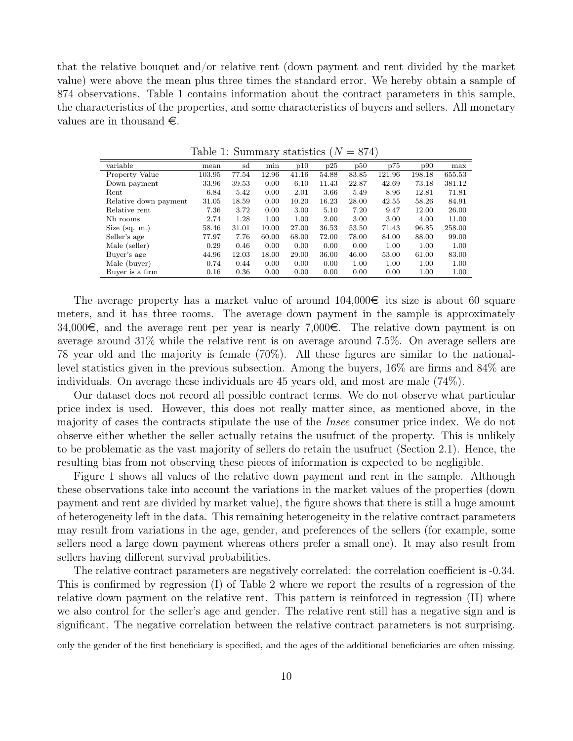that the relative bouquet and/or relative rent (down payment and rent divided by the market value) were above the mean plus three times the standard error. We hereby obtain a sample of 874 observations. Table 1 contains information about the contract parameters in this sample, the characteristics of the properties, and some characteristics of buyers and sellers. All monetary values are in thousand  $\epsilon$ .

|                       |        |       |       |       | $\sim$ |       |        |        |        |
|-----------------------|--------|-------|-------|-------|--------|-------|--------|--------|--------|
| variable              | mean   | sd    | min   | p10   | p25    | p50   | p75    | p90    | max    |
| Property Value        | 103.95 | 77.54 | 12.96 | 41.16 | 54.88  | 83.85 | 121.96 | 198.18 | 655.53 |
| Down payment          | 33.96  | 39.53 | 0.00  | 6.10  | 11.43  | 22.87 | 42.69  | 73.18  | 381.12 |
| Rent                  | 6.84   | 5.42  | 0.00  | 2.01  | 3.66   | 5.49  | 8.96   | 12.81  | 71.81  |
| Relative down payment | 31.05  | 18.59 | 0.00  | 10.20 | 16.23  | 28.00 | 42.55  | 58.26  | 84.91  |
| Relative rent         | 7.36   | 3.72  | 0.00  | 3.00  | 5.10   | 7.20  | 9.47   | 12.00  | 26.00  |
| Nb rooms              | 2.74   | 1.28  | 1.00  | 1.00  | 2.00   | 3.00  | 3.00   | 4.00   | 11.00  |
| Size $(sq. m.)$       | 58.46  | 31.01 | 10.00 | 27.00 | 36.53  | 53.50 | 71.43  | 96.85  | 258.00 |
| Seller's age          | 77.97  | 7.76  | 60.00 | 68.00 | 72.00  | 78.00 | 84.00  | 88.00  | 99.00  |
| Male (seller)         | 0.29   | 0.46  | 0.00  | 0.00  | 0.00   | 0.00  | 1.00   | 1.00   | 1.00   |
| Buyer's age           | 44.96  | 12.03 | 18.00 | 29.00 | 36.00  | 46.00 | 53.00  | 61.00  | 83.00  |
| Male (buyer)          | 0.74   | 0.44  | 0.00  | 0.00  | 0.00   | 1.00  | 1.00   | 1.00   | 1.00   |
| Buyer is a firm       | 0.16   | 0.36  | 0.00  | 0.00  | 0.00   | 0.00  | 0.00   | 1.00   | 1.00   |

Table 1: Summary statistics  $(N = 874)$ 

The average property has a market value of around  $104,000\in$  its size is about 60 square meters, and it has three rooms. The average down payment in the sample is approximately 34,000 $\epsilon$ , and the average rent per year is nearly 7,000 $\epsilon$ . The relative down payment is on average around 31% while the relative rent is on average around 7.5%. On average sellers are 78 year old and the majority is female (70%). All these figures are similar to the nationallevel statistics given in the previous subsection. Among the buyers, 16% are firms and 84% are individuals. On average these individuals are 45 years old, and most are male (74%).

Our dataset does not record all possible contract terms. We do not observe what particular price index is used. However, this does not really matter since, as mentioned above, in the majority of cases the contracts stipulate the use of the Insee consumer price index. We do not observe either whether the seller actually retains the usufruct of the property. This is unlikely to be problematic as the vast majority of sellers do retain the usufruct (Section 2.1). Hence, the resulting bias from not observing these pieces of information is expected to be negligible.

Figure 1 shows all values of the relative down payment and rent in the sample. Although these observations take into account the variations in the market values of the properties (down payment and rent are divided by market value), the figure shows that there is still a huge amount of heterogeneity left in the data. This remaining heterogeneity in the relative contract parameters may result from variations in the age, gender, and preferences of the sellers (for example, some sellers need a large down payment whereas others prefer a small one). It may also result from sellers having different survival probabilities.

The relative contract parameters are negatively correlated: the correlation coefficient is -0.34. This is confirmed by regression (I) of Table 2 where we report the results of a regression of the relative down payment on the relative rent. This pattern is reinforced in regression (II) where we also control for the seller's age and gender. The relative rent still has a negative sign and is significant. The negative correlation between the relative contract parameters is not surprising.

only the gender of the first beneficiary is specified, and the ages of the additional beneficiaries are often missing.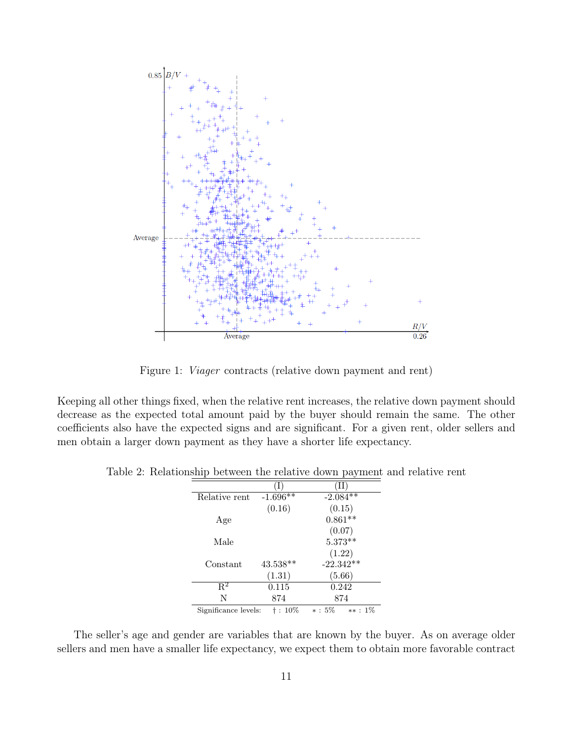

Figure 1: Viager contracts (relative down payment and rent)

Keeping all other things fixed, when the relative rent increases, the relative down payment should decrease as the expected total amount paid by the buyer should remain the same. The other coefficients also have the expected signs and are significant. For a given rent, older sellers and men obtain a larger down payment as they have a shorter life expectancy.

|                      |            | $\Gamma$ $\sim$        |  |  |
|----------------------|------------|------------------------|--|--|
|                      |            | п                      |  |  |
| Relative rent        | $-1.696**$ | $-2.084**$             |  |  |
|                      | (0.16)     | (0.15)                 |  |  |
| Age                  |            | $0.861**$              |  |  |
|                      |            | (0.07)                 |  |  |
| Male                 |            | $5.373**$              |  |  |
|                      |            | (1.22)                 |  |  |
| Constant             | $43.538**$ | $-22.342**$            |  |  |
|                      | (1.31)     | (5.66)                 |  |  |
| $\mathrm{R}^2$       | 0.115      | 0.242                  |  |  |
| N                    | 874        | 874                    |  |  |
| Significance levels: | †: 10%     | $* : 5\%$<br>$***:1\%$ |  |  |

Table 2: Relationship between the relative down payment and relative rent

The seller's age and gender are variables that are known by the buyer. As on average older sellers and men have a smaller life expectancy, we expect them to obtain more favorable contract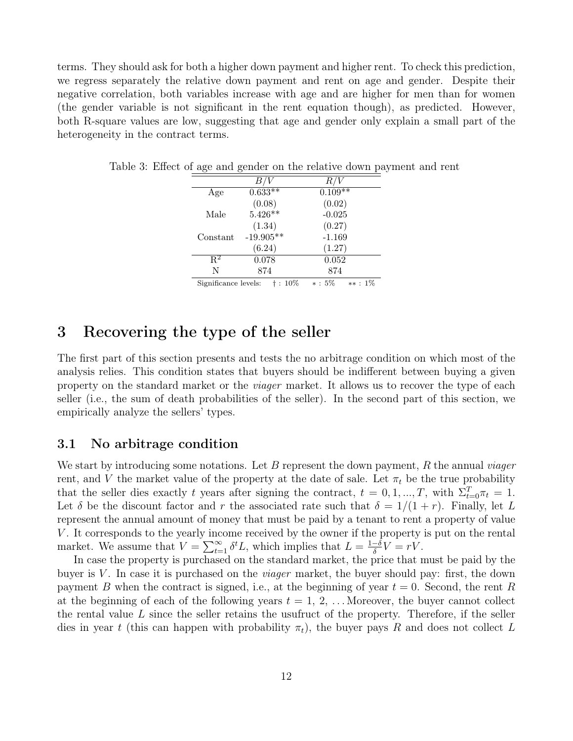terms. They should ask for both a higher down payment and higher rent. To check this prediction, we regress separately the relative down payment and rent on age and gender. Despite their negative correlation, both variables increase with age and are higher for men than for women (the gender variable is not significant in the rent equation though), as predicted. However, both R-square values are low, suggesting that age and gender only explain a small part of the heterogeneity in the contract terms.

| Age                  | $0.633**$   | $0.109**$              |
|----------------------|-------------|------------------------|
|                      | (0.08)      | (0.02)                 |
| Male                 | $5.426**$   | $-0.025$               |
|                      | (1.34)      | (0.27)                 |
| Constant             | $-19.905**$ | $-1.169$               |
|                      | (6.24)      | (1.27)                 |
| $\mathbf{R}^2$       | 0.078       | $0.052\,$              |
| N                    | 874         | 874                    |
| Significance levels: | †: 10%      | $* : 5\%$<br>$***:1\%$ |

Table 3: Effect of age and gender on the relative down payment and rent

### 3 Recovering the type of the seller

The first part of this section presents and tests the no arbitrage condition on which most of the analysis relies. This condition states that buyers should be indifferent between buying a given property on the standard market or the *viager* market. It allows us to recover the type of each seller (i.e., the sum of death probabilities of the seller). In the second part of this section, we empirically analyze the sellers' types.

### 3.1 No arbitrage condition

We start by introducing some notations. Let B represent the down payment, R the annual *viager* rent, and V the market value of the property at the date of sale. Let  $\pi_t$  be the true probability that the seller dies exactly t years after signing the contract,  $t = 0, 1, ..., T$ , with  $\Sigma_{t=0}^{T} \pi_t = 1$ . Let  $\delta$  be the discount factor and r the associated rate such that  $\delta = 1/(1+r)$ . Finally, let L represent the annual amount of money that must be paid by a tenant to rent a property of value V. It corresponds to the yearly income received by the owner if the property is put on the rental market. We assume that  $V = \sum_{t=1}^{\infty} \delta^t L$ , which implies that  $L = \frac{1-\delta}{\delta}$  $\frac{-\delta}{\delta}V = rV.$ 

In case the property is purchased on the standard market, the price that must be paid by the buyer is  $V$ . In case it is purchased on the *viager* market, the buyer should pay: first, the down payment B when the contract is signed, i.e., at the beginning of year  $t = 0$ . Second, the rent R at the beginning of each of the following years  $t = 1, 2, \ldots$  Moreover, the buyer cannot collect the rental value  $L$  since the seller retains the usufruct of the property. Therefore, if the seller dies in year t (this can happen with probability  $\pi_t$ ), the buyer pays R and does not collect L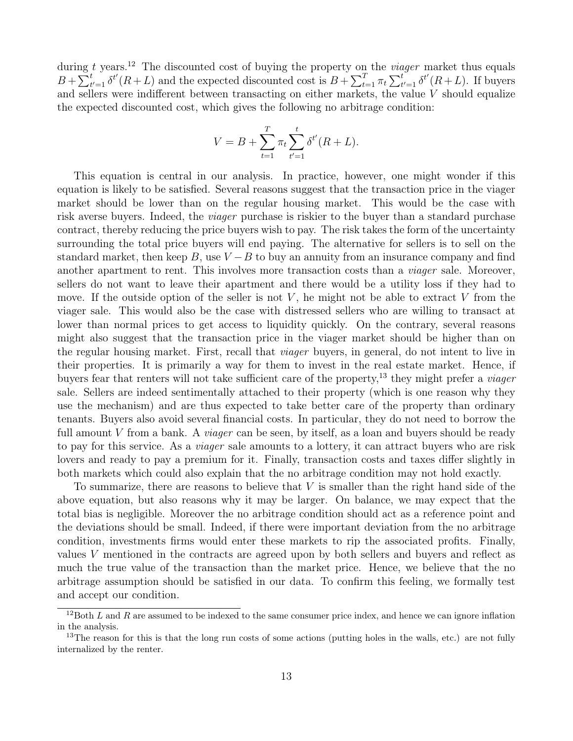during t years.<sup>12</sup> The discounted cost of buying the property on the *viager* market thus equals  $B+\sum_{t'=1}^t \delta^{t'}(R+L)$  and the expected discounted cost is  $B+\sum_{t=1}^T \pi_t \sum_{t'=1}^t \delta^{t'}(R+L)$ . If buyers and sellers were indifferent between transacting on either markets, the value V should equalize the expected discounted cost, which gives the following no arbitrage condition:

$$
V = B + \sum_{t=1}^{T} \pi_t \sum_{t'=1}^{t} \delta^{t'}(R + L).
$$

This equation is central in our analysis. In practice, however, one might wonder if this equation is likely to be satisfied. Several reasons suggest that the transaction price in the viager market should be lower than on the regular housing market. This would be the case with risk averse buyers. Indeed, the viager purchase is riskier to the buyer than a standard purchase contract, thereby reducing the price buyers wish to pay. The risk takes the form of the uncertainty surrounding the total price buyers will end paying. The alternative for sellers is to sell on the standard market, then keep B, use  $V - B$  to buy an annuity from an insurance company and find another apartment to rent. This involves more transaction costs than a *viager* sale. Moreover, sellers do not want to leave their apartment and there would be a utility loss if they had to move. If the outside option of the seller is not  $V$ , he might not be able to extract  $V$  from the viager sale. This would also be the case with distressed sellers who are willing to transact at lower than normal prices to get access to liquidity quickly. On the contrary, several reasons might also suggest that the transaction price in the viager market should be higher than on the regular housing market. First, recall that viager buyers, in general, do not intent to live in their properties. It is primarily a way for them to invest in the real estate market. Hence, if buyers fear that renters will not take sufficient care of the property,<sup>13</sup> they might prefer a *viager* sale. Sellers are indeed sentimentally attached to their property (which is one reason why they use the mechanism) and are thus expected to take better care of the property than ordinary tenants. Buyers also avoid several financial costs. In particular, they do not need to borrow the full amount V from a bank. A *viager* can be seen, by itself, as a loan and buyers should be ready to pay for this service. As a *viager* sale amounts to a lottery, it can attract buyers who are risk lovers and ready to pay a premium for it. Finally, transaction costs and taxes differ slightly in both markets which could also explain that the no arbitrage condition may not hold exactly.

To summarize, there are reasons to believe that V is smaller than the right hand side of the above equation, but also reasons why it may be larger. On balance, we may expect that the total bias is negligible. Moreover the no arbitrage condition should act as a reference point and the deviations should be small. Indeed, if there were important deviation from the no arbitrage condition, investments firms would enter these markets to rip the associated profits. Finally, values V mentioned in the contracts are agreed upon by both sellers and buyers and reflect as much the true value of the transaction than the market price. Hence, we believe that the no arbitrage assumption should be satisfied in our data. To confirm this feeling, we formally test and accept our condition.

<sup>&</sup>lt;sup>12</sup>Both L and R are assumed to be indexed to the same consumer price index, and hence we can ignore inflation in the analysis.

<sup>&</sup>lt;sup>13</sup>The reason for this is that the long run costs of some actions (putting holes in the walls, etc.) are not fully internalized by the renter.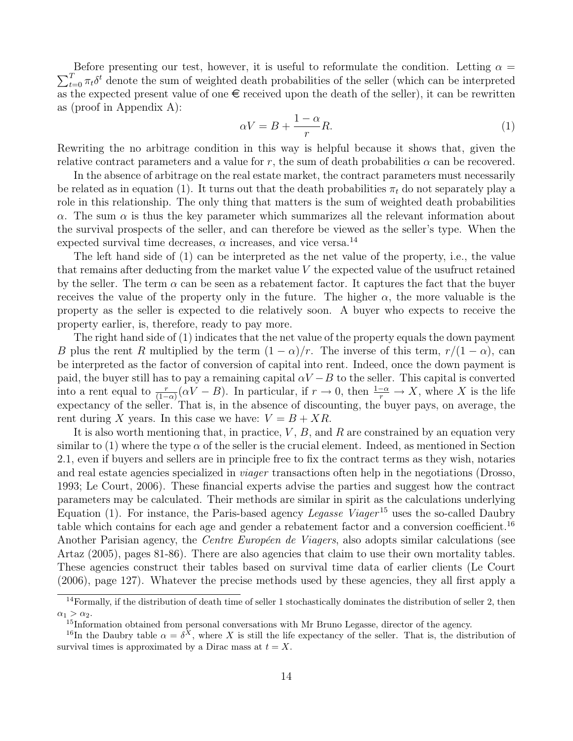$\sum_{t=0}^{T} \pi_t \delta^t$  denote the sum of weighted death probabilities of the seller (which can be interpreted Before presenting our test, however, it is useful to reformulate the condition. Letting  $\alpha =$ as the expected present value of one  $\epsilon$  received upon the death of the seller), it can be rewritten as (proof in Appendix A):

$$
\alpha V = B + \frac{1 - \alpha}{r} R. \tag{1}
$$

Rewriting the no arbitrage condition in this way is helpful because it shows that, given the relative contract parameters and a value for r, the sum of death probabilities  $\alpha$  can be recovered.

In the absence of arbitrage on the real estate market, the contract parameters must necessarily be related as in equation (1). It turns out that the death probabilities  $\pi_t$  do not separately play a role in this relationship. The only thing that matters is the sum of weighted death probabilities  $\alpha$ . The sum  $\alpha$  is thus the key parameter which summarizes all the relevant information about the survival prospects of the seller, and can therefore be viewed as the seller's type. When the expected survival time decreases,  $\alpha$  increases, and vice versa.<sup>14</sup>

The left hand side of (1) can be interpreted as the net value of the property, i.e., the value that remains after deducting from the market value  $V$  the expected value of the usufruct retained by the seller. The term  $\alpha$  can be seen as a rebatement factor. It captures the fact that the buyer receives the value of the property only in the future. The higher  $\alpha$ , the more valuable is the property as the seller is expected to die relatively soon. A buyer who expects to receive the property earlier, is, therefore, ready to pay more.

The right hand side of (1) indicates that the net value of the property equals the down payment B plus the rent R multiplied by the term  $(1 - \alpha)/r$ . The inverse of this term,  $r/(1 - \alpha)$ , can be interpreted as the factor of conversion of capital into rent. Indeed, once the down payment is paid, the buyer still has to pay a remaining capital  $\alpha V - B$  to the seller. This capital is converted into a rent equal to  $\frac{r}{(1-\alpha)}(\alpha V - B)$ . In particular, if  $r \to 0$ , then  $\frac{1-\alpha}{r} \to X$ , where X is the life expectancy of the seller. That is, in the absence of discounting, the buyer pays, on average, the rent during X years. In this case we have:  $V = B + XR$ .

It is also worth mentioning that, in practice,  $V, B$ , and R are constrained by an equation very similar to (1) where the type  $\alpha$  of the seller is the crucial element. Indeed, as mentioned in Section 2.1, even if buyers and sellers are in principle free to fix the contract terms as they wish, notaries and real estate agencies specialized in viager transactions often help in the negotiations (Drosso, 1993; Le Court, 2006). These financial experts advise the parties and suggest how the contract parameters may be calculated. Their methods are similar in spirit as the calculations underlying Equation (1). For instance, the Paris-based agency *Legasse Viager*<sup>15</sup> uses the so-called Daubry table which contains for each age and gender a rebatement factor and a conversion coefficient.<sup>16</sup> Another Parisian agency, the *Centre Européen de Viagers*, also adopts similar calculations (see Artaz (2005), pages 81-86). There are also agencies that claim to use their own mortality tables. These agencies construct their tables based on survival time data of earlier clients (Le Court (2006), page 127). Whatever the precise methods used by these agencies, they all first apply a

 $14$ Formally, if the distribution of death time of seller 1 stochastically dominates the distribution of seller 2, then  $\alpha_1 > \alpha_2$ .

<sup>&</sup>lt;sup>15</sup>Information obtained from personal conversations with Mr Bruno Legasse, director of the agency.

<sup>&</sup>lt;sup>16</sup>In the Daubry table  $\alpha = \delta^X$ , where X is still the life expectancy of the seller. That is, the distribution of survival times is approximated by a Dirac mass at  $t = X$ .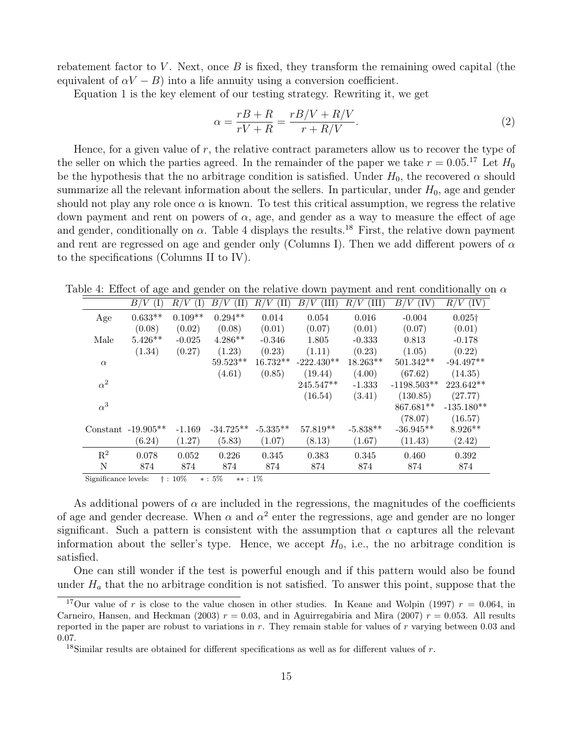rebatement factor to  $V$ . Next, once  $B$  is fixed, they transform the remaining owed capital (the equivalent of  $\alpha V - B$ ) into a life annuity using a conversion coefficient.

Equation 1 is the key element of our testing strategy. Rewriting it, we get

$$
\alpha = \frac{rB + R}{rV + R} = \frac{rB/V + R/V}{r + R/V}.\tag{2}
$$

Hence, for a given value of  $r$ , the relative contract parameters allow us to recover the type of the seller on which the parties agreed. In the remainder of the paper we take  $r = 0.05$ .<sup>17</sup> Let  $H_0$ be the hypothesis that the no arbitrage condition is satisfied. Under  $H_0$ , the recovered  $\alpha$  should summarize all the relevant information about the sellers. In particular, under  $H_0$ , age and gender should not play any role once  $\alpha$  is known. To test this critical assumption, we regress the relative down payment and rent on powers of  $\alpha$ , age, and gender as a way to measure the effect of age and gender, conditionally on  $\alpha$ . Table 4 displays the results.<sup>18</sup> First, the relative down payment and rent are regressed on age and gender only (Columns I). Then we add different powers of  $\alpha$ to the specifications (Columns II to IV).

Table 4: Effect of age and gender on the relative down payment and rent conditionally on  $\alpha$ 

|                | (I)<br>B/            | R/<br>(1) | B/V<br>$(\mathrm{II})$ | 'V<br>$_{R/}$<br>(II) | $B_{\rm \ell}$<br>TII) | (III)<br>V<br>$_{R/}$ | B/<br>(IV)<br>'V | (IV)<br>R/V    |
|----------------|----------------------|-----------|------------------------|-----------------------|------------------------|-----------------------|------------------|----------------|
| Age            | $0.633**$            | $0.109**$ | $0.294**$              | 0.014                 | 0.054                  | 0.016                 | $-0.004$         | $0.025\dagger$ |
|                | (0.08)               | (0.02)    | (0.08)                 | (0.01)                | (0.07)                 | (0.01)                | (0.07)           | (0.01)         |
| Male           | $5.426**$            | $-0.025$  | $4.286**$              | $-0.346$              | 1.805                  | $-0.333$              | 0.813            | $-0.178$       |
|                | (1.34)               | (0.27)    | (1.23)                 | (0.23)                | (1.11)                 | (0.23)                | (1.05)           | (0.22)         |
| $\alpha$       |                      |           | $59.523^{\ast\ast}$    | $16.732**$            | $-222.430**$           | $18.263**$            | $501.342**$      | $-94.497**$    |
|                |                      |           | (4.61)                 | (0.85)                | (19.44)                | (4.00)                | (67.62)          | (14.35)        |
| $\alpha^2$     |                      |           |                        |                       | $245.547**$            | $-1.333$              | $-1198.503**$    | $223.642**$    |
|                |                      |           |                        |                       | (16.54)                | (3.41)                | (130.85)         | (27.77)        |
| $\alpha^3$     |                      |           |                        |                       |                        |                       | 867.681**        | $-135.180**$   |
|                |                      |           |                        |                       |                        |                       | (78.07)          | (16.57)        |
|                | Constant $-19.905**$ | $-1.169$  | $-34.725**$            | $-5.335**$            | 57.819**               | $-5.838**$            | $-36.945**$      | $8.926**$      |
|                | (6.24)               | (1.27)    | (5.83)                 | (1.07)                | (8.13)                 | (1.67)                | (11.43)          | (2.42)         |
| $\mathbf{R}^2$ | 0.078                | 0.052     | 0.226                  | 0.345                 | 0.383                  | 0.345                 | 0.460            | 0.392          |
| N              | 874                  | 874       | 874                    | 874                   | 874                    | 874                   | 874              | 874            |
|                |                      |           |                        |                       |                        |                       |                  |                |

Significance levels: † : 10% ∗ : 5% ∗∗ : 1%

As additional powers of  $\alpha$  are included in the regressions, the magnitudes of the coefficients of age and gender decrease. When  $\alpha$  and  $\alpha^2$  enter the regressions, age and gender are no longer significant. Such a pattern is consistent with the assumption that  $\alpha$  captures all the relevant information about the seller's type. Hence, we accept  $H_0$ , i.e., the no arbitrage condition is satisfied.

One can still wonder if the test is powerful enough and if this pattern would also be found under  $H_a$  that the no arbitrage condition is not satisfied. To answer this point, suppose that the

<sup>&</sup>lt;sup>17</sup>Our value of r is close to the value chosen in other studies. In Keane and Wolpin (1997)  $r = 0.064$ , in Carneiro, Hansen, and Heckman (2003)  $r = 0.03$ , and in Aguirregabiria and Mira (2007)  $r = 0.053$ . All results reported in the paper are robust to variations in  $r$ . They remain stable for values of  $r$  varying between 0.03 and 0.07.

<sup>&</sup>lt;sup>18</sup>Similar results are obtained for different specifications as well as for different values of  $r$ .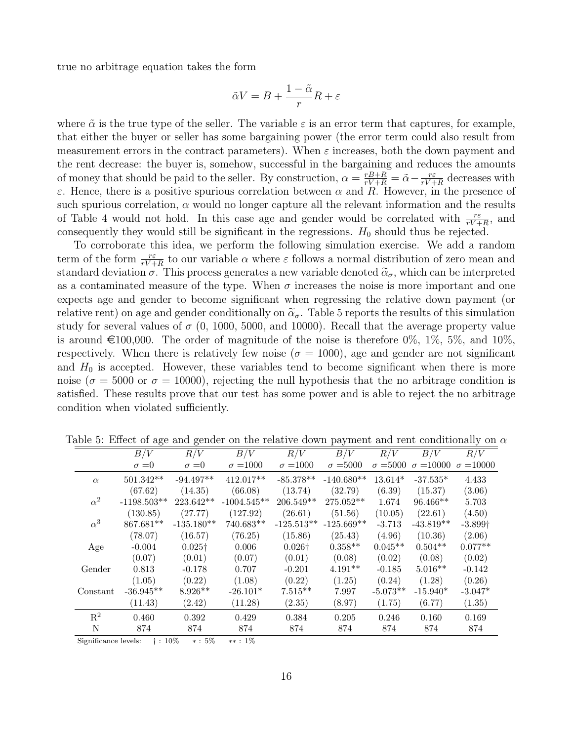true no arbitrage equation takes the form

$$
\tilde{\alpha}V = B + \frac{1-\tilde{\alpha}}{r}R + \varepsilon
$$

where  $\tilde{\alpha}$  is the true type of the seller. The variable  $\varepsilon$  is an error term that captures, for example, that either the buyer or seller has some bargaining power (the error term could also result from measurement errors in the contract parameters). When  $\varepsilon$  increases, both the down payment and the rent decrease: the buyer is, somehow, successful in the bargaining and reduces the amounts of money that should be paid to the seller. By construction,  $\alpha = \frac{rB+R}{rV+R}$  $\frac{rB+R}{rV+R}=\tilde{\alpha}-\frac{r\varepsilon}{rV+R}$  $\frac{r\varepsilon}{rV + R}$  decreases with ε. Hence, there is a positive spurious correlation between  $\alpha$  and  $R$ . However, in the presence of such spurious correlation,  $\alpha$  would no longer capture all the relevant information and the results of Table 4 would not hold. In this case age and gender would be correlated with  $\frac{r\varepsilon}{rV+R}$ , and consequently they would still be significant in the regressions.  $H_0$  should thus be rejected.

To corroborate this idea, we perform the following simulation exercise. We add a random term of the form  $\frac{r\varepsilon}{rV+R}$  to our variable  $\alpha$  where  $\varepsilon$  follows a normal distribution of zero mean and standard deviation  $\sigma$ . This process generates a new variable denoted  $\tilde{\alpha}_{\sigma}$ , which can be interpreted as a contaminated measure of the type. When  $\sigma$  increases the noise is more important and one expects age and gender to become significant when regressing the relative down payment (or relative rent) on age and gender conditionally on  $\tilde{\alpha}_{\sigma}$ . Table 5 reports the results of this simulation study for several values of  $\sigma$  (0, 1000, 5000, and 10000). Recall that the average property value is around  $\in$ 100,000. The order of magnitude of the noise is therefore 0%, 1%, 5%, and 10%, respectively. When there is relatively few noise ( $\sigma = 1000$ ), age and gender are not significant and  $H_0$  is accepted. However, these variables tend to become significant when there is more noise ( $\sigma = 5000$  or  $\sigma = 10000$ ), rejecting the null hypothesis that the no arbitrage condition is satisfied. These results prove that our test has some power and is able to reject the no arbitrage condition when violated sufficiently.

|                | $\circ$          | $\circ$           |                  |                                            | $\mathbf{r}$ $\mathbf{v}$ |                 |                  |                  |
|----------------|------------------|-------------------|------------------|--------------------------------------------|---------------------------|-----------------|------------------|------------------|
|                | $\overline{B/V}$ | R/V               | $\overline{B/V}$ | R/V                                        | $\overline{B/V}$          | R/V             | $\overline{B/V}$ | R/V              |
|                | $\sigma = 0$     | $\sigma = 0$      | $\sigma = 1000$  | $\sigma = 1000$                            | $\sigma = 5000$           | $\sigma = 5000$ | $\sigma = 10000$ | $\sigma = 10000$ |
| $\alpha$       | $501.342**$      | $-94.497**$       | $412.017**$      | $-85.378**$                                | $-140.680**$              | $13.614*$       | $-37.535*$       | 4.433            |
|                | (67.62)          | (14.35)           | (66.08)          | (13.74)                                    | (32.79)                   | (6.39)          | (15.37)          | (3.06)           |
| $\alpha^2$     | $-1198.503**$    | $223.642**$       | $-1004.545**$    | $206.549**$                                | 275.052**                 | 1.674           | $96.466**$       | 5.703            |
|                | (130.85)         | (27.77)           | (127.92)         | (26.61)                                    | (51.56)                   | (10.05)         | (22.61)          | (4.50)           |
| $\alpha^3$     | $867.681**$      | $-135.180^{**}\,$ | $740.683**$      | $\textbf{-125.513}^{\textbf{\texttt{**}}}$ | $-125.669**$              | $-3.713$        | $-43.819**$      | $-3.899\dagger$  |
|                | (78.07)          | (16.57)           | (76.25)          | (15.86)                                    | (25.43)                   | (4.96)          | (10.36)          | (2.06)           |
| Age            | $-0.004$         | $0.025\dagger$    | 0.006            | $0.026\dagger$                             | $0.358**$                 | $0.045**$       | $0.504**$        | $0.077**$        |
|                | (0.07)           | (0.01)            | (0.07)           | (0.01)                                     | (0.08)                    | (0.02)          | (0.08)           | (0.02)           |
| Gender         | 0.813            | $-0.178$          | 0.707            | $-0.201$                                   | $4.191**$                 | $-0.185$        | $5.016**$        | $-0.142$         |
|                | (1.05)           | (0.22)            | (1.08)           | (0.22)                                     | (1.25)                    | (0.24)          | (1.28)           | (0.26)           |
| Constant       | $-36.945**$      | $8.926**$         | $-26.101*$       | $7.515**$                                  | 7.997                     | $-5.073**$      | $-15.940*$       | $-3.047*$        |
|                | (11.43)          | (2.42)            | (11.28)          | (2.35)                                     | (8.97)                    | (1.75)          | (6.77)           | (1.35)           |
| $\mathbf{R}^2$ | 0.460            | 0.392             | 0.429            | 0.384                                      | 0.205                     | 0.246           | 0.160            | 0.169            |
| N              | 874              | 874               | 874              | 874                                        | 874                       | 874             | 874              | 874              |

Table 5: Effect of age and gender on the relative down payment and rent conditionally on  $\alpha$ 

Significance levels: † : 10% ∗ : 5% ∗∗ : 1%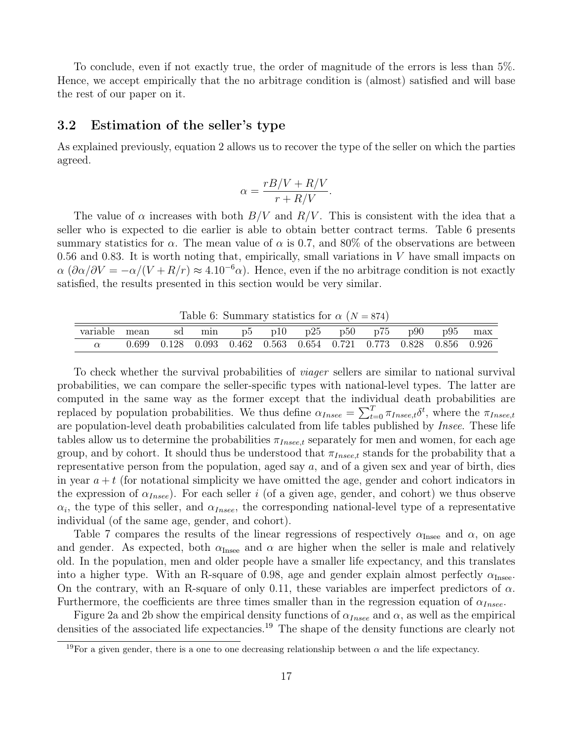To conclude, even if not exactly true, the order of magnitude of the errors is less than 5%. Hence, we accept empirically that the no arbitrage condition is (almost) satisfied and will base the rest of our paper on it.

#### 3.2 Estimation of the seller's type

As explained previously, equation 2 allows us to recover the type of the seller on which the parties agreed.

$$
\alpha = \frac{rB/V + R/V}{r + R/V}.
$$

The value of  $\alpha$  increases with both  $B/V$  and  $R/V$ . This is consistent with the idea that a seller who is expected to die earlier is able to obtain better contract terms. Table 6 presents summary statistics for  $\alpha$ . The mean value of  $\alpha$  is 0.7, and 80% of the observations are between 0.56 and 0.83. It is worth noting that, empirically, small variations in  $V$  have small impacts on  $\alpha (\partial \alpha/\partial V = -\alpha/(V + R/r) \approx 4.10^{-6} \alpha)$ . Hence, even if the no arbitrage condition is not exactly satisfied, the results presented in this section would be very similar.

Table 6: Summary statistics for  $\alpha$  (N = 874)

| variable mean sd min p5 p10 p25 p50 p75 p90 p95 max |  |                                                                                         |  |  |  |  |  |  |  |  |  |
|-----------------------------------------------------|--|-----------------------------------------------------------------------------------------|--|--|--|--|--|--|--|--|--|
|                                                     |  | $0.699$ $0.128$ $0.093$ $0.462$ $0.563$ $0.654$ $0.721$ $0.773$ $0.828$ $0.856$ $0.926$ |  |  |  |  |  |  |  |  |  |

To check whether the survival probabilities of viager sellers are similar to national survival probabilities, we can compare the seller-specific types with national-level types. The latter are computed in the same way as the former except that the individual death probabilities are replaced by population probabilities. We thus define  $\alpha_{Insee} = \sum_{t=0}^{T} \pi_{Insee,t} \delta^t$ , where the  $\pi_{Insee,t}$ are population-level death probabilities calculated from life tables published by Insee. These life tables allow us to determine the probabilities  $\pi_{Insee,t}$  separately for men and women, for each age group, and by cohort. It should thus be understood that  $\pi_{Insee,t}$  stands for the probability that a representative person from the population, aged say a, and of a given sex and year of birth, dies in year  $a + t$  (for notational simplicity we have omitted the age, gender and cohort indicators in the expression of  $\alpha_{Insee}$ ). For each seller i (of a given age, gender, and cohort) we thus observe  $\alpha_i$ , the type of this seller, and  $\alpha_{Insee}$ , the corresponding national-level type of a representative individual (of the same age, gender, and cohort).

Table 7 compares the results of the linear regressions of respectively  $\alpha_{\text{Insee}}$  and  $\alpha$ , on age and gender. As expected, both  $\alpha_{\text{Insee}}$  and  $\alpha$  are higher when the seller is male and relatively old. In the population, men and older people have a smaller life expectancy, and this translates into a higher type. With an R-square of 0.98, age and gender explain almost perfectly  $\alpha_{\text{Insee}}$ . On the contrary, with an R-square of only 0.11, these variables are imperfect predictors of  $\alpha$ . Furthermore, the coefficients are three times smaller than in the regression equation of  $\alpha_{Insee}$ .

Figure 2a and 2b show the empirical density functions of  $\alpha_{Insee}$  and  $\alpha$ , as well as the empirical densities of the associated life expectancies.<sup>19</sup> The shape of the density functions are clearly not

<sup>&</sup>lt;sup>19</sup>For a given gender, there is a one to one decreasing relationship between  $\alpha$  and the life expectancy.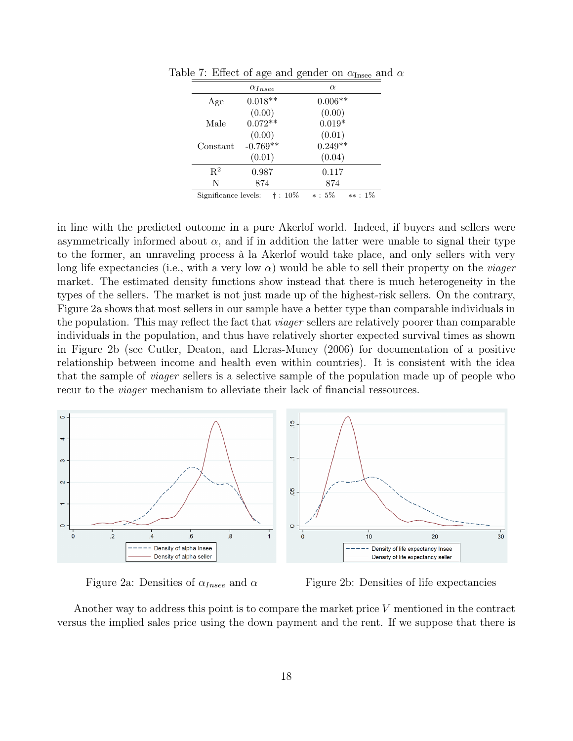|                      | $\alpha_{Insee}$ | $\alpha$               |
|----------------------|------------------|------------------------|
| Age                  | $0.018**$        | $0.006**$              |
|                      | (0.00)           | (0.00)                 |
| Male                 | $0.072**$        | $0.019*$               |
|                      | (0.00)           | (0.01)                 |
| Constant             | $-0.769**$       | $0.249**$              |
|                      | (0.01)           | (0.04)                 |
| $\mathbf{R}^2$       | 0.987            | 0.117                  |
| N                    | 874              | 874                    |
| Significance levels: | †: 10%           | $* : 5\%$<br>$**: 1\%$ |

Table 7: Effect of age and gender on  $\alpha_{\text{Insee}}$  and  $\alpha$ 

in line with the predicted outcome in a pure Akerlof world. Indeed, if buyers and sellers were asymmetrically informed about  $\alpha$ , and if in addition the latter were unable to signal their type to the former, an unraveling process à la Akerlof would take place, and only sellers with very long life expectancies (i.e., with a very low  $\alpha$ ) would be able to sell their property on the *viager* market. The estimated density functions show instead that there is much heterogeneity in the types of the sellers. The market is not just made up of the highest-risk sellers. On the contrary, Figure 2a shows that most sellers in our sample have a better type than comparable individuals in the population. This may reflect the fact that *viager* sellers are relatively poorer than comparable individuals in the population, and thus have relatively shorter expected survival times as shown in Figure 2b (see Cutler, Deaton, and Lleras-Muney (2006) for documentation of a positive relationship between income and health even within countries). It is consistent with the idea that the sample of viager sellers is a selective sample of the population made up of people who recur to the *viager* mechanism to alleviate their lack of financial ressources.



Figure 2a: Densities of  $\alpha_{Insee}$  and  $\alpha$  Figure 2b: Densities of life expectancies

Another way to address this point is to compare the market price V mentioned in the contract versus the implied sales price using the down payment and the rent. If we suppose that there is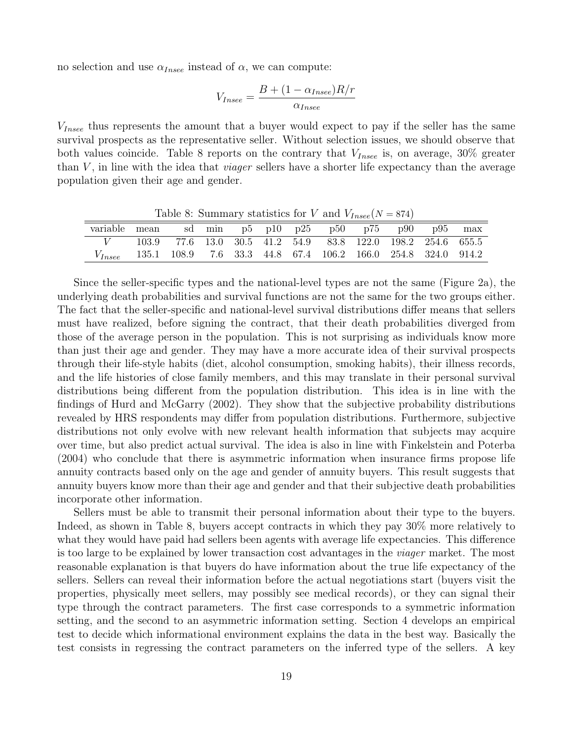no selection and use  $\alpha_{Insee}$  instead of  $\alpha$ , we can compute:

$$
V_{Insee} = \frac{B + (1 - \alpha_{Insee})R/r}{\alpha_{Insee}}
$$

 $V_{Insee}$  thus represents the amount that a buyer would expect to pay if the seller has the same survival prospects as the representative seller. Without selection issues, we should observe that both values coincide. Table 8 reports on the contrary that  $V_{Insee}$  is, on average, 30% greater than  $V$ , in line with the idea that *viager* sellers have a shorter life expectancy than the average population given their age and gender.

Table 8: Summary statistics for V and  $V_{Insee}(N=874)$ variable mean sd min p5 p10 p25 p50 p75 p90 p95 max V 103.9 77.6 13.0 30.5 41.2 54.9 83.8 122.0 198.2 254.6 655.5  $V_{Insee}$  135.1 108.9 7.6 33.3 44.8 67.4 106.2 166.0 254.8 324.0 914.2

Since the seller-specific types and the national-level types are not the same (Figure 2a), the underlying death probabilities and survival functions are not the same for the two groups either. The fact that the seller-specific and national-level survival distributions differ means that sellers must have realized, before signing the contract, that their death probabilities diverged from those of the average person in the population. This is not surprising as individuals know more than just their age and gender. They may have a more accurate idea of their survival prospects through their life-style habits (diet, alcohol consumption, smoking habits), their illness records, and the life histories of close family members, and this may translate in their personal survival distributions being different from the population distribution. This idea is in line with the findings of Hurd and McGarry (2002). They show that the subjective probability distributions revealed by HRS respondents may differ from population distributions. Furthermore, subjective distributions not only evolve with new relevant health information that subjects may acquire over time, but also predict actual survival. The idea is also in line with Finkelstein and Poterba (2004) who conclude that there is asymmetric information when insurance firms propose life annuity contracts based only on the age and gender of annuity buyers. This result suggests that annuity buyers know more than their age and gender and that their subjective death probabilities incorporate other information.

Sellers must be able to transmit their personal information about their type to the buyers. Indeed, as shown in Table 8, buyers accept contracts in which they pay 30% more relatively to what they would have paid had sellers been agents with average life expectancies. This difference is too large to be explained by lower transaction cost advantages in the viager market. The most reasonable explanation is that buyers do have information about the true life expectancy of the sellers. Sellers can reveal their information before the actual negotiations start (buyers visit the properties, physically meet sellers, may possibly see medical records), or they can signal their type through the contract parameters. The first case corresponds to a symmetric information setting, and the second to an asymmetric information setting. Section 4 develops an empirical test to decide which informational environment explains the data in the best way. Basically the test consists in regressing the contract parameters on the inferred type of the sellers. A key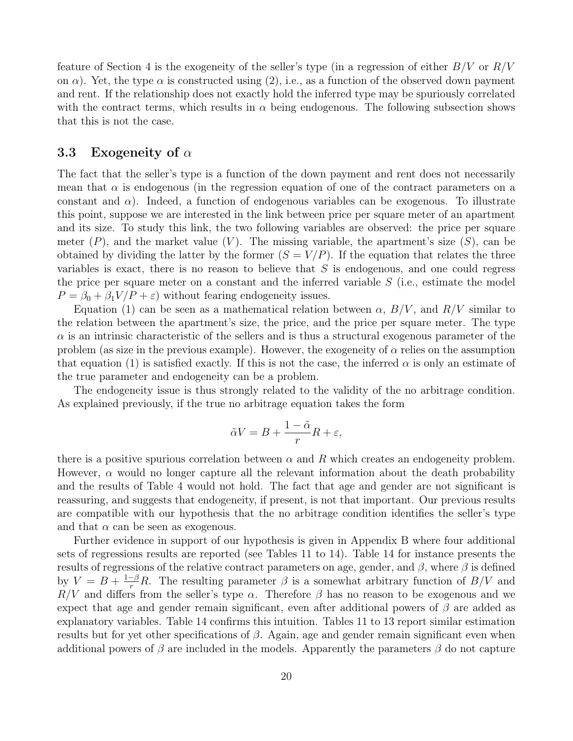feature of Section 4 is the exogeneity of the seller's type (in a regression of either  $B/V$  or  $R/V$ on  $\alpha$ ). Yet, the type  $\alpha$  is constructed using (2), i.e., as a function of the observed down payment and rent. If the relationship does not exactly hold the inferred type may be spuriously correlated with the contract terms, which results in  $\alpha$  being endogenous. The following subsection shows that this is not the case.

#### 3.3 Exogeneity of  $\alpha$

The fact that the seller's type is a function of the down payment and rent does not necessarily mean that  $\alpha$  is endogenous (in the regression equation of one of the contract parameters on a constant and  $\alpha$ ). Indeed, a function of endogenous variables can be exogenous. To illustrate this point, suppose we are interested in the link between price per square meter of an apartment and its size. To study this link, the two following variables are observed: the price per square meter  $(P)$ , and the market value  $(V)$ . The missing variable, the apartment's size  $(S)$ , can be obtained by dividing the latter by the former  $(S = V/P)$ . If the equation that relates the three variables is exact, there is no reason to believe that  $S$  is endogenous, and one could regress the price per square meter on a constant and the inferred variable  $S$  (i.e., estimate the model  $P = \beta_0 + \beta_1 V/P + \varepsilon$ ) without fearing endogeneity issues.

Equation (1) can be seen as a mathematical relation between  $\alpha$ ,  $B/V$ , and  $R/V$  similar to the relation between the apartment's size, the price, and the price per square meter. The type  $\alpha$  is an intrinsic characteristic of the sellers and is thus a structural exogenous parameter of the problem (as size in the previous example). However, the exogeneity of  $\alpha$  relies on the assumption that equation (1) is satisfied exactly. If this is not the case, the inferred  $\alpha$  is only an estimate of the true parameter and endogeneity can be a problem.

The endogeneity issue is thus strongly related to the validity of the no arbitrage condition. As explained previously, if the true no arbitrage equation takes the form

$$
\tilde{\alpha}V = B + \frac{1-\tilde{\alpha}}{r}R + \varepsilon,
$$

there is a positive spurious correlation between  $\alpha$  and R which creates an endogeneity problem. However,  $\alpha$  would no longer capture all the relevant information about the death probability and the results of Table 4 would not hold. The fact that age and gender are not significant is reassuring, and suggests that endogeneity, if present, is not that important. Our previous results are compatible with our hypothesis that the no arbitrage condition identifies the seller's type and that  $\alpha$  can be seen as exogenous.

Further evidence in support of our hypothesis is given in Appendix B where four additional sets of regressions results are reported (see Tables 11 to 14). Table 14 for instance presents the results of regressions of the relative contract parameters on age, gender, and  $\beta$ , where  $\beta$  is defined by  $V = B + \frac{1-\beta}{r}R$ . The resulting parameter  $\beta$  is a somewhat arbitrary function of  $B/V$  and  $R/V$  and differs from the seller's type  $\alpha$ . Therefore  $\beta$  has no reason to be exogenous and we expect that age and gender remain significant, even after additional powers of  $\beta$  are added as explanatory variables. Table 14 confirms this intuition. Tables 11 to 13 report similar estimation results but for yet other specifications of  $\beta$ . Again, age and gender remain significant even when additional powers of  $\beta$  are included in the models. Apparently the parameters  $\beta$  do not capture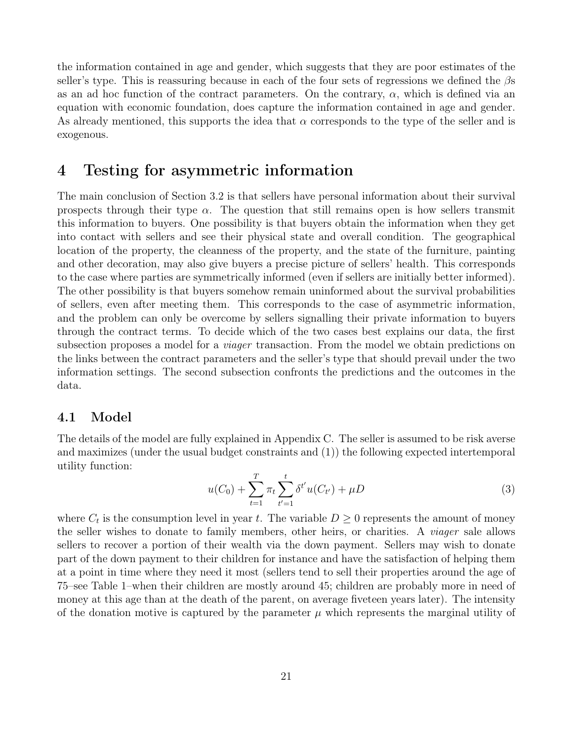the information contained in age and gender, which suggests that they are poor estimates of the seller's type. This is reassuring because in each of the four sets of regressions we defined the  $\beta s$ as an ad hoc function of the contract parameters. On the contrary,  $\alpha$ , which is defined via an equation with economic foundation, does capture the information contained in age and gender. As already mentioned, this supports the idea that  $\alpha$  corresponds to the type of the seller and is exogenous.

### 4 Testing for asymmetric information

The main conclusion of Section 3.2 is that sellers have personal information about their survival prospects through their type  $\alpha$ . The question that still remains open is how sellers transmit this information to buyers. One possibility is that buyers obtain the information when they get into contact with sellers and see their physical state and overall condition. The geographical location of the property, the cleanness of the property, and the state of the furniture, painting and other decoration, may also give buyers a precise picture of sellers' health. This corresponds to the case where parties are symmetrically informed (even if sellers are initially better informed). The other possibility is that buyers somehow remain uninformed about the survival probabilities of sellers, even after meeting them. This corresponds to the case of asymmetric information, and the problem can only be overcome by sellers signalling their private information to buyers through the contract terms. To decide which of the two cases best explains our data, the first subsection proposes a model for a *viager* transaction. From the model we obtain predictions on the links between the contract parameters and the seller's type that should prevail under the two information settings. The second subsection confronts the predictions and the outcomes in the data.

### 4.1 Model

The details of the model are fully explained in Appendix C. The seller is assumed to be risk averse and maximizes (under the usual budget constraints and (1)) the following expected intertemporal utility function:

$$
u(C_0) + \sum_{t=1}^{T} \pi_t \sum_{t'=1}^{t} \delta^{t'} u(C_{t'}) + \mu D \tag{3}
$$

where  $C_t$  is the consumption level in year t. The variable  $D \geq 0$  represents the amount of money the seller wishes to donate to family members, other heirs, or charities. A *viager* sale allows sellers to recover a portion of their wealth via the down payment. Sellers may wish to donate part of the down payment to their children for instance and have the satisfaction of helping them at a point in time where they need it most (sellers tend to sell their properties around the age of 75–see Table 1–when their children are mostly around 45; children are probably more in need of money at this age than at the death of the parent, on average fiveteen years later). The intensity of the donation motive is captured by the parameter  $\mu$  which represents the marginal utility of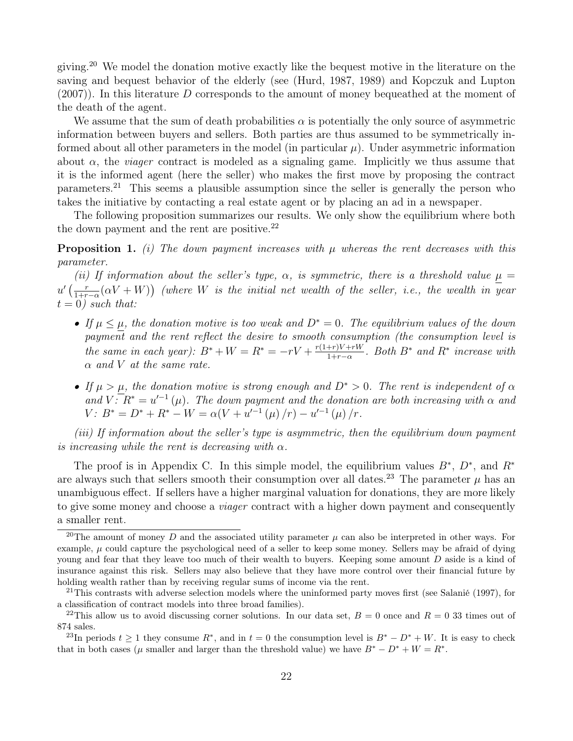giving.<sup>20</sup> We model the donation motive exactly like the bequest motive in the literature on the saving and bequest behavior of the elderly (see (Hurd, 1987, 1989) and Kopczuk and Lupton (2007)). In this literature D corresponds to the amount of money bequeathed at the moment of the death of the agent.

We assume that the sum of death probabilities  $\alpha$  is potentially the only source of asymmetric information between buyers and sellers. Both parties are thus assumed to be symmetrically informed about all other parameters in the model (in particular  $\mu$ ). Under asymmetric information about  $\alpha$ , the *viager* contract is modeled as a signaling game. Implicitly we thus assume that it is the informed agent (here the seller) who makes the first move by proposing the contract parameters.<sup>21</sup> This seems a plausible assumption since the seller is generally the person who takes the initiative by contacting a real estate agent or by placing an ad in a newspaper.

The following proposition summarizes our results. We only show the equilibrium where both the down payment and the rent are positive. $^{22}$ 

**Proposition 1.** (i) The down payment increases with  $\mu$  whereas the rent decreases with this parameter.

(ii) If information about the seller's type,  $\alpha$ , is symmetric, there is a threshold value  $\mu =$  $u'$  ( $\frac{r}{1+r}$  $\frac{r}{1+r-\alpha}(\alpha V+W)$ ) (where W is the initial net wealth of the seller, i.e., the wealth in year  $t = 0$ ) such that:

- If  $\mu \leq \mu$ , the donation motive is too weak and  $D^* = 0$ . The equilibrium values of the down  $payment$  and the rent reflect the desire to smooth consumption (the consumption level is the same in each year):  $B^* + W = R^* = -rV + \frac{r(1+r)V + rW}{1+r-\alpha}$  $\frac{1+r}{1+r-\alpha}$ . Both B<sup>\*</sup> and R<sup>\*</sup> increase with  $\alpha$  and V at the same rate.
- If  $\mu > \mu$ , the donation motive is strong enough and  $D^* > 0$ . The rent is independent of  $\alpha$ and  $V \cdot \overline{R^*} = u'^{-1}(\mu)$ . The down payment and the donation are both increasing with  $\alpha$  and V:  $B^* = D^* + R^* - W = \alpha (V + u'^{-1}(\mu)/r) - u'^{-1}(\mu)/r.$

(iii) If information about the seller's type is asymmetric, then the equilibrium down payment is increasing while the rent is decreasing with  $\alpha$ .

The proof is in Appendix C. In this simple model, the equilibrium values  $B^*, D^*,$  and  $R^*$ are always such that sellers smooth their consumption over all dates.<sup>23</sup> The parameter  $\mu$  has an unambiguous effect. If sellers have a higher marginal valuation for donations, they are more likely to give some money and choose a viager contract with a higher down payment and consequently a smaller rent.

<sup>&</sup>lt;sup>20</sup>The amount of money D and the associated utility parameter  $\mu$  can also be interpreted in other ways. For example,  $\mu$  could capture the psychological need of a seller to keep some money. Sellers may be afraid of dying young and fear that they leave too much of their wealth to buyers. Keeping some amount D aside is a kind of insurance against this risk. Sellers may also believe that they have more control over their financial future by holding wealth rather than by receiving regular sums of income via the rent.

<sup>&</sup>lt;sup>21</sup>This contrasts with adverse selection models where the uninformed party moves first (see Salanié (1997), for a classification of contract models into three broad families).

<sup>&</sup>lt;sup>22</sup>This allow us to avoid discussing corner solutions. In our data set,  $B = 0$  once and  $R = 0$  33 times out of 874 sales.

<sup>&</sup>lt;sup>23</sup>In periods  $t \geq 1$  they consume  $R^*$ , and in  $t = 0$  the consumption level is  $B^* - D^* + W$ . It is easy to check that in both cases ( $\mu$  smaller and larger than the threshold value) we have  $B^* - D^* + W = R^*$ .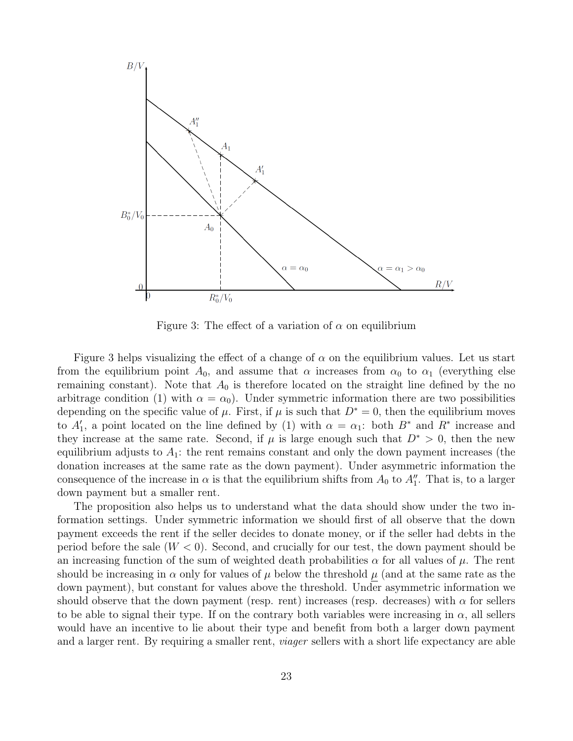

Figure 3: The effect of a variation of  $\alpha$  on equilibrium

Figure 3 helps visualizing the effect of a change of  $\alpha$  on the equilibrium values. Let us start from the equilibrium point  $A_0$ , and assume that  $\alpha$  increases from  $\alpha_0$  to  $\alpha_1$  (everything else remaining constant). Note that  $A_0$  is therefore located on the straight line defined by the no arbitrage condition (1) with  $\alpha = \alpha_0$ ). Under symmetric information there are two possibilities depending on the specific value of  $\mu$ . First, if  $\mu$  is such that  $D^* = 0$ , then the equilibrium moves to  $A'_1$ , a point located on the line defined by (1) with  $\alpha = \alpha_1$ : both  $B^*$  and  $R^*$  increase and they increase at the same rate. Second, if  $\mu$  is large enough such that  $D^* > 0$ , then the new equilibrium adjusts to  $A_1$ : the rent remains constant and only the down payment increases (the donation increases at the same rate as the down payment). Under asymmetric information the consequence of the increase in  $\alpha$  is that the equilibrium shifts from  $A_0$  to  $A''_1$ . That is, to a larger down payment but a smaller rent.

The proposition also helps us to understand what the data should show under the two information settings. Under symmetric information we should first of all observe that the down payment exceeds the rent if the seller decides to donate money, or if the seller had debts in the period before the sale  $(W < 0)$ . Second, and crucially for our test, the down payment should be an increasing function of the sum of weighted death probabilities  $\alpha$  for all values of  $\mu$ . The rent should be increasing in  $\alpha$  only for values of  $\mu$  below the threshold  $\mu$  (and at the same rate as the down payment), but constant for values above the threshold. Under asymmetric information we should observe that the down payment (resp. rent) increases (resp. decreases) with  $\alpha$  for sellers to be able to signal their type. If on the contrary both variables were increasing in  $\alpha$ , all sellers would have an incentive to lie about their type and benefit from both a larger down payment and a larger rent. By requiring a smaller rent, *viager* sellers with a short life expectancy are able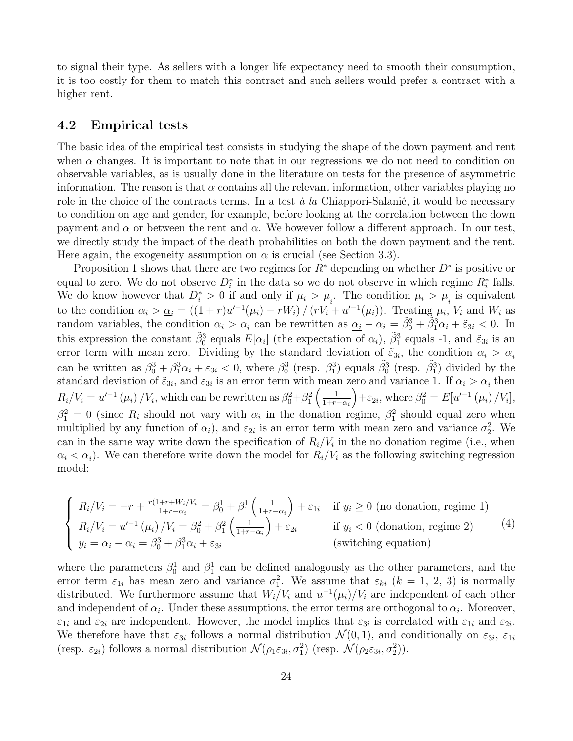to signal their type. As sellers with a longer life expectancy need to smooth their consumption, it is too costly for them to match this contract and such sellers would prefer a contract with a higher rent.

#### 4.2 Empirical tests

The basic idea of the empirical test consists in studying the shape of the down payment and rent when  $\alpha$  changes. It is important to note that in our regressions we do not need to condition on observable variables, as is usually done in the literature on tests for the presence of asymmetric information. The reason is that  $\alpha$  contains all the relevant information, other variables playing no role in the choice of the contracts terms. In a test  $\dot{a}$  la Chiappori-Salanié, it would be necessary to condition on age and gender, for example, before looking at the correlation between the down payment and  $\alpha$  or between the rent and  $\alpha$ . We however follow a different approach. In our test, we directly study the impact of the death probabilities on both the down payment and the rent. Here again, the exogeneity assumption on  $\alpha$  is crucial (see Section 3.3).

Proposition 1 shows that there are two regimes for  $R^*$  depending on whether  $D^*$  is positive or equal to zero. We do not observe  $D_i^*$  in the data so we do not observe in which regime  $R_i^*$  falls. We do know however that  $D_i^* > 0$  if and only if  $\mu_i > \mu_i$ . The condition  $\mu_i > \mu_i$  is equivalent to the condition  $\alpha_i > \underline{\alpha}_i = ((1+r)u'^{-1}(\mu_i) - rW_i) / (rV_i + u'^{-1}(\mu_i))$ . Treating  $\mu_i$ ,  $V_i$  and  $W_i$  as random variables, the condition  $\alpha_i > \alpha_i$  can be rewritten as  $\alpha_i - \alpha_i = \tilde{\beta}_0^3 + \tilde{\beta}_1^3 \alpha_i + \tilde{\varepsilon}_{3i} < 0$ . In this expression the constant  $\tilde{\beta}_0^3$  equals  $E[\alpha_i]$  (the expectation of  $\alpha_i$ ),  $\tilde{\beta}_1^3$  equals -1, and  $\tilde{\varepsilon}_{3i}$  is an error term with mean zero. Dividing by the standard deviation of  $\tilde{\varepsilon}_{3i}$ , the condition  $\alpha_i > \underline{\alpha_i}$ can be written as  $\beta_0^3 + \beta_1^3 \alpha_i + \varepsilon_{3i} < 0$ , where  $\beta_0^3$  (resp.  $\beta_1^3$ ) equals  $\tilde{\beta}_0^3$  (resp.  $\tilde{\beta}_1^3$ ) divided by the standard deviation of  $\tilde{\varepsilon}_{3i}$ , and  $\varepsilon_{3i}$  is an error term with mean zero and variance 1. If  $\alpha_i > \underline{\alpha}_i$  then  $R_i/V_i = u'^{-1}(\mu_i)/V_i$ , which can be rewritten as  $\beta_0^2 + \beta_1^2 \left(\frac{1}{1+r}\right)$  $1+r-\alpha_i$  $+\varepsilon_{2i}$ , where  $\beta_0^2 = E[u'^{-1}(\mu_i)/V_i],$  $\beta_1^2 = 0$  (since  $R_i$  should not vary with  $\alpha_i$  in the donation regime,  $\beta_1^2$  should equal zero when multiplied by any function of  $\alpha_i$ ), and  $\varepsilon_{2i}$  is an error term with mean zero and variance  $\sigma_2^2$ . We can in the same way write down the specification of  $R_i/V_i$  in the no donation regime (i.e., when  $\alpha_i < \underline{\alpha}_i$ ). We can therefore write down the model for  $R_i/V_i$  as the following switching regression model:

$$
\begin{cases}\nR_i/V_i = -r + \frac{r(1+r+W_i/V_i)}{1+r-\alpha_i} = \beta_0^1 + \beta_1^1\left(\frac{1}{1+r-\alpha_i}\right) + \varepsilon_{1i} & \text{if } y_i \ge 0 \text{ (no domain, regime 1)}\\ \nR_i/V_i = u'^{-1}(\mu_i)/V_i = \beta_0^2 + \beta_1^2\left(\frac{1}{1+r-\alpha_i}\right) + \varepsilon_{2i} & \text{if } y_i < 0 \text{ (donation, regime 2)}\\ \ny_i = \underline{\alpha_i} - \alpha_i = \beta_0^3 + \beta_1^3 \alpha_i + \varepsilon_{3i} & \text{(switching equation)}\n\end{cases}
$$
\n
$$
(4)
$$

where the parameters  $\beta_0^1$  and  $\beta_1^1$  can be defined analogously as the other parameters, and the error term  $\varepsilon_{1i}$  has mean zero and variance  $\sigma_1^2$ . We assume that  $\varepsilon_{ki}$  ( $k = 1, 2, 3$ ) is normally distributed. We furthermore assume that  $W_i/V_i$  and  $u^{-1}(\mu_i)/V_i$  are independent of each other and independent of  $\alpha_i$ . Under these assumptions, the error terms are orthogonal to  $\alpha_i$ . Moreover,  $\varepsilon_{1i}$  and  $\varepsilon_{2i}$  are independent. However, the model implies that  $\varepsilon_{3i}$  is correlated with  $\varepsilon_{1i}$  and  $\varepsilon_{2i}$ . We therefore have that  $\varepsilon_{3i}$  follows a normal distribution  $\mathcal{N}(0,1)$ , and conditionally on  $\varepsilon_{3i}$ ,  $\varepsilon_{1i}$ (resp.  $\varepsilon_{2i}$ ) follows a normal distribution  $\mathcal{N}(\rho_1 \varepsilon_{3i}, \sigma_1^2)$  (resp.  $\mathcal{N}(\rho_2 \varepsilon_{3i}, \sigma_2^2)$ ).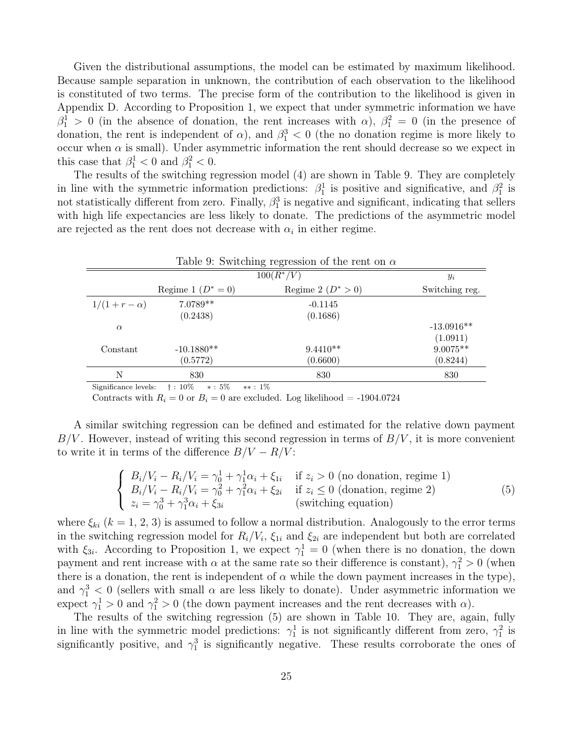Given the distributional assumptions, the model can be estimated by maximum likelihood. Because sample separation in unknown, the contribution of each observation to the likelihood is constituted of two terms. The precise form of the contribution to the likelihood is given in Appendix D. According to Proposition 1, we expect that under symmetric information we have  $\beta_1^1 > 0$  (in the absence of donation, the rent increases with  $\alpha$ ),  $\beta_1^2 = 0$  (in the presence of donation, the rent is independent of  $\alpha$ ), and  $\beta_1^3$  < 0 (the no donation regime is more likely to occur when  $\alpha$  is small). Under asymmetric information the rent should decrease so we expect in this case that  $\beta_1^1 < 0$  and  $\beta_1^2 < 0$ .

The results of the switching regression model (4) are shown in Table 9. They are completely in line with the symmetric information predictions:  $\beta_1^1$  is positive and significative, and  $\beta_1^2$  is not statistically different from zero. Finally,  $\beta_1^3$  is negative and significant, indicating that sellers with high life expectancies are less likely to donate. The predictions of the asymmetric model are rejected as the rent does not decrease with  $\alpha_i$  in either regime.

|                  |                      | Table 9: Switching regression of the rent on $\alpha$ |                |
|------------------|----------------------|-------------------------------------------------------|----------------|
|                  |                      | $100(R^*/V)$                                          | $y_i$          |
|                  | Regime 1 $(D^* = 0)$ | Regime 2 $(D^* > 0)$                                  | Switching reg. |
| $1/(1+r-\alpha)$ | $7.0789**$           | $-0.1145$                                             |                |
|                  | (0.2438)             | (0.1686)                                              |                |
| $\alpha$         |                      |                                                       | $-13.0916**$   |
|                  |                      |                                                       | (1.0911)       |
| Constant         | $-10.1880**$         | $9.4410**$                                            | $9.0075**$     |
|                  | (0.5772)             | (0.6600)                                              | (0.8244)       |
| N                | 830                  | 830                                                   | 830            |
|                  |                      |                                                       |                |

Significance levels: † : 10% ∗ : 5% ∗∗ : 1%

Contracts with  $R_i = 0$  or  $B_i = 0$  are excluded. Log likelihood = -1904.0724

A similar switching regression can be defined and estimated for the relative down payment  $B/V$ . However, instead of writing this second regression in terms of  $B/V$ , it is more convenient to write it in terms of the difference  $B/V - R/V$ :

$$
\begin{cases}\nB_i/V_i - R_i/V_i = \gamma_0^1 + \gamma_1^1 \alpha_i + \xi_{1i} & \text{if } z_i > 0 \text{ (no domain, regime 1)} \\
B_i/V_i - R_i/V_i = \gamma_0^2 + \gamma_1^2 \alpha_i + \xi_{2i} & \text{if } z_i \le 0 \text{ (donation, regime 2)} \\
z_i = \gamma_0^3 + \gamma_1^3 \alpha_i + \xi_{3i} & \text{(switching equation)}\n\end{cases}
$$
\n(5)

where  $\xi_{ki}$  ( $k = 1, 2, 3$ ) is assumed to follow a normal distribution. Analogously to the error terms in the switching regression model for  $R_i/V_i$ ,  $\xi_{1i}$  and  $\xi_{2i}$  are independent but both are correlated with  $\xi_{3i}$ . According to Proposition 1, we expect  $\gamma_1^1 = 0$  (when there is no donation, the down payment and rent increase with  $\alpha$  at the same rate so their difference is constant),  $\gamma_1^2 > 0$  (when there is a donation, the rent is independent of  $\alpha$  while the down payment increases in the type), and  $\gamma_1^3$  < 0 (sellers with small  $\alpha$  are less likely to donate). Under asymmetric information we expect  $\gamma_1^1 > 0$  and  $\gamma_1^2 > 0$  (the down payment increases and the rent decreases with  $\alpha$ ).

The results of the switching regression (5) are shown in Table 10. They are, again, fully in line with the symmetric model predictions:  $\gamma_1^1$  is not significantly different from zero,  $\gamma_1^2$  is significantly positive, and  $\gamma_1^3$  is significantly negative. These results corroborate the ones of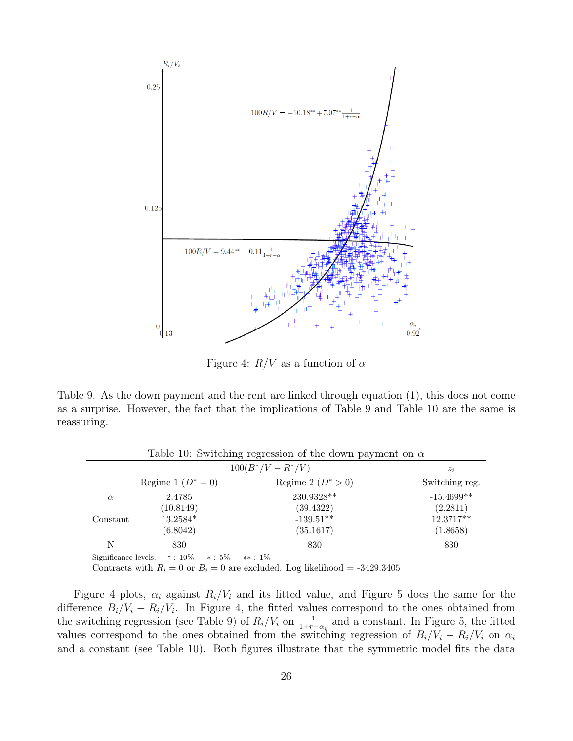

Figure 4:  $R/V$  as a function of  $\alpha$ 

Table 9. As the down payment and the rent are linked through equation (1), this does not come as a surprise. However, the fact that the implications of Table 9 and Table 10 are the same is reassuring.

|                      |                                  | Table 10. Switching regression of the down payment on $\alpha$ |                |
|----------------------|----------------------------------|----------------------------------------------------------------|----------------|
|                      | $100(B^*/V - R^*/V)$             | $z_i$                                                          |                |
|                      | Regime 1 $(D^* = 0)$             | Regime 2 $(D^* > 0)$                                           | Switching reg. |
| $\alpha$             | 2.4785                           | 230.9328**                                                     | $-15.4699**$   |
|                      | (10.8149)                        | (39.4322)                                                      | (2.2811)       |
| Constant             | 13.2584*                         | $-139.51**$                                                    | 12.3717**      |
|                      | (6.8042)                         | (35.1617)                                                      | (1.8658)       |
| N                    | 830                              | 830                                                            | 830            |
| Significance levels. | $+$ $\cdot$ 10%<br>$\ddotsc$ 5%. | $+1\%$                                                         |                |

 $Table 10: Switching regression of the down power$ 

Significance levels:  $\uparrow$ : 10%  $*$ : 5%  $*$ : 1%

Contracts with  $R_i = 0$  or  $B_i = 0$  are excluded. Log likelihood = -3429.3405

Figure 4 plots,  $\alpha_i$  against  $R_i/V_i$  and its fitted value, and Figure 5 does the same for the difference  $B_i/V_i - R_i/V_i$ . In Figure 4, the fitted values correspond to the ones obtained from the switching regression (see Table 9) of  $R_i/V_i$  on  $\frac{1}{1+r-\alpha_i}$  and a constant. In Figure 5, the fitted values correspond to the ones obtained from the switching regression of  $B_i/V_i - R_i/V_i$  on  $\alpha_i$ and a constant (see Table 10). Both figures illustrate that the symmetric model fits the data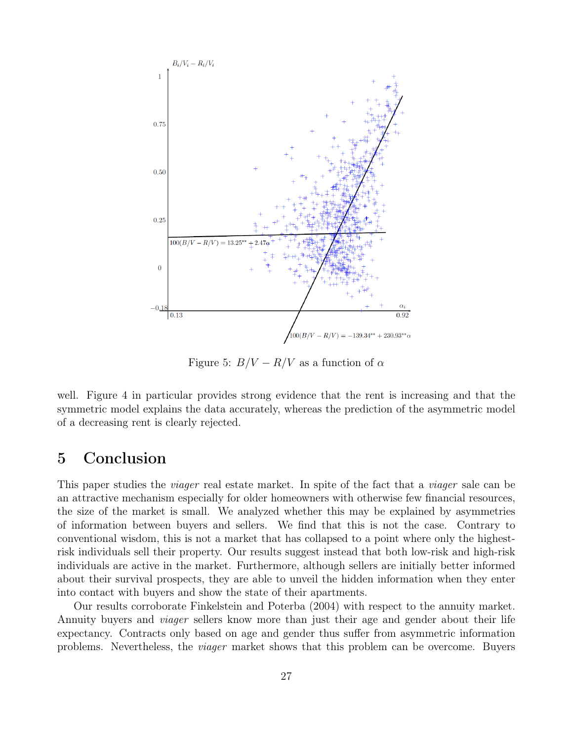

Figure 5:  $B/V - R/V$  as a function of  $\alpha$ 

well. Figure 4 in particular provides strong evidence that the rent is increasing and that the symmetric model explains the data accurately, whereas the prediction of the asymmetric model of a decreasing rent is clearly rejected.

### 5 Conclusion

This paper studies the *viager* real estate market. In spite of the fact that a *viager* sale can be an attractive mechanism especially for older homeowners with otherwise few financial resources, the size of the market is small. We analyzed whether this may be explained by asymmetries of information between buyers and sellers. We find that this is not the case. Contrary to conventional wisdom, this is not a market that has collapsed to a point where only the highestrisk individuals sell their property. Our results suggest instead that both low-risk and high-risk individuals are active in the market. Furthermore, although sellers are initially better informed about their survival prospects, they are able to unveil the hidden information when they enter into contact with buyers and show the state of their apartments.

Our results corroborate Finkelstein and Poterba (2004) with respect to the annuity market. Annuity buyers and viager sellers know more than just their age and gender about their life expectancy. Contracts only based on age and gender thus suffer from asymmetric information problems. Nevertheless, the viager market shows that this problem can be overcome. Buyers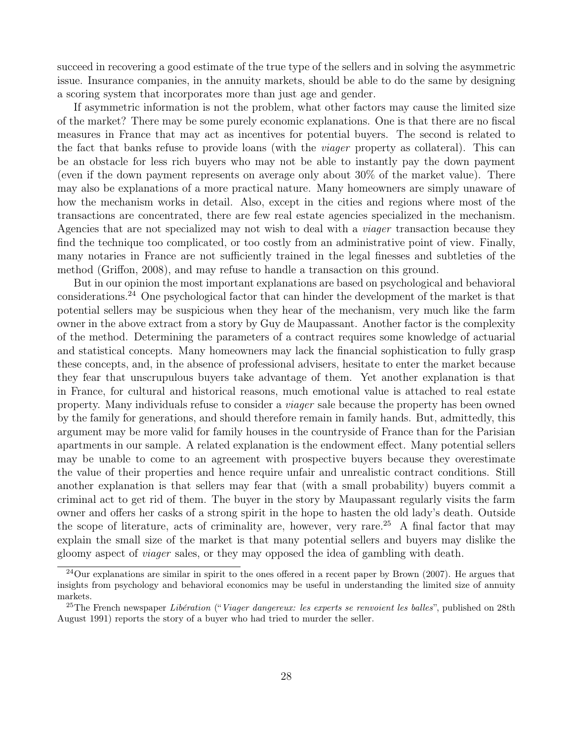succeed in recovering a good estimate of the true type of the sellers and in solving the asymmetric issue. Insurance companies, in the annuity markets, should be able to do the same by designing a scoring system that incorporates more than just age and gender.

If asymmetric information is not the problem, what other factors may cause the limited size of the market? There may be some purely economic explanations. One is that there are no fiscal measures in France that may act as incentives for potential buyers. The second is related to the fact that banks refuse to provide loans (with the *viager* property as collateral). This can be an obstacle for less rich buyers who may not be able to instantly pay the down payment (even if the down payment represents on average only about 30% of the market value). There may also be explanations of a more practical nature. Many homeowners are simply unaware of how the mechanism works in detail. Also, except in the cities and regions where most of the transactions are concentrated, there are few real estate agencies specialized in the mechanism. Agencies that are not specialized may not wish to deal with a viager transaction because they find the technique too complicated, or too costly from an administrative point of view. Finally, many notaries in France are not sufficiently trained in the legal finesses and subtleties of the method (Griffon, 2008), and may refuse to handle a transaction on this ground.

But in our opinion the most important explanations are based on psychological and behavioral considerations.<sup>24</sup> One psychological factor that can hinder the development of the market is that potential sellers may be suspicious when they hear of the mechanism, very much like the farm owner in the above extract from a story by Guy de Maupassant. Another factor is the complexity of the method. Determining the parameters of a contract requires some knowledge of actuarial and statistical concepts. Many homeowners may lack the financial sophistication to fully grasp these concepts, and, in the absence of professional advisers, hesitate to enter the market because they fear that unscrupulous buyers take advantage of them. Yet another explanation is that in France, for cultural and historical reasons, much emotional value is attached to real estate property. Many individuals refuse to consider a viager sale because the property has been owned by the family for generations, and should therefore remain in family hands. But, admittedly, this argument may be more valid for family houses in the countryside of France than for the Parisian apartments in our sample. A related explanation is the endowment effect. Many potential sellers may be unable to come to an agreement with prospective buyers because they overestimate the value of their properties and hence require unfair and unrealistic contract conditions. Still another explanation is that sellers may fear that (with a small probability) buyers commit a criminal act to get rid of them. The buyer in the story by Maupassant regularly visits the farm owner and offers her casks of a strong spirit in the hope to hasten the old lady's death. Outside the scope of literature, acts of criminality are, however, very rare.<sup>25</sup> A final factor that may explain the small size of the market is that many potential sellers and buyers may dislike the gloomy aspect of viager sales, or they may opposed the idea of gambling with death.

 $^{24}$ Our explanations are similar in spirit to the ones offered in a recent paper by Brown (2007). He argues that insights from psychology and behavioral economics may be useful in understanding the limited size of annuity markets.

<sup>&</sup>lt;sup>25</sup>The French newspaper Libération ("Viager dangereux: les experts se renvoient les balles", published on 28th August 1991) reports the story of a buyer who had tried to murder the seller.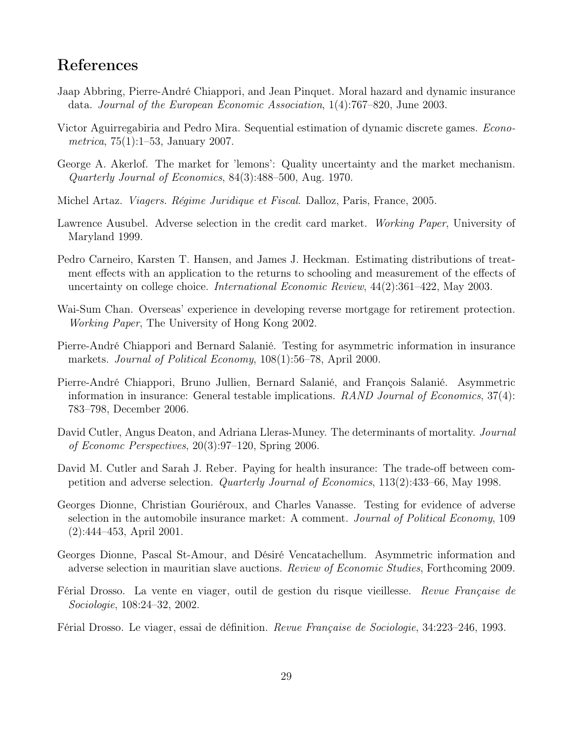### References

- Jaap Abbring, Pierre-André Chiappori, and Jean Pinquet. Moral hazard and dynamic insurance data. Journal of the European Economic Association, 1(4):767–820, June 2003.
- Victor Aguirregabiria and Pedro Mira. Sequential estimation of dynamic discrete games. Econometrica, 75(1):1–53, January 2007.
- George A. Akerlof. The market for 'lemons': Quality uncertainty and the market mechanism. Quarterly Journal of Economics, 84(3):488–500, Aug. 1970.
- Michel Artaz. Viagers. Régime Juridique et Fiscal. Dalloz, Paris, France, 2005.
- Lawrence Ausubel. Adverse selection in the credit card market. Working Paper, University of Maryland 1999.
- Pedro Carneiro, Karsten T. Hansen, and James J. Heckman. Estimating distributions of treatment effects with an application to the returns to schooling and measurement of the effects of uncertainty on college choice. International Economic Review, 44(2):361–422, May 2003.
- Wai-Sum Chan. Overseas' experience in developing reverse mortgage for retirement protection. Working Paper, The University of Hong Kong 2002.
- Pierre-André Chiappori and Bernard Salanié. Testing for asymmetric information in insurance markets. Journal of Political Economy, 108(1):56–78, April 2000.
- Pierre-André Chiappori, Bruno Jullien, Bernard Salanié, and François Salanié. Asymmetric information in insurance: General testable implications. RAND Journal of Economics,  $37(4)$ : 783–798, December 2006.
- David Cutler, Angus Deaton, and Adriana Lleras-Muney. The determinants of mortality. *Journal* of Economc Perspectives, 20(3):97–120, Spring 2006.
- David M. Cutler and Sarah J. Reber. Paying for health insurance: The trade-off between competition and adverse selection. Quarterly Journal of Economics, 113(2):433–66, May 1998.
- Georges Dionne, Christian Gouriéroux, and Charles Vanasse. Testing for evidence of adverse selection in the automobile insurance market: A comment. Journal of Political Economy, 109 (2):444–453, April 2001.
- Georges Dionne, Pascal St-Amour, and Désiré Vencatachellum. Asymmetric information and adverse selection in mauritian slave auctions. Review of Economic Studies, Forthcoming 2009.
- Férial Drosso. La vente en viager, outil de gestion du risque vieillesse. Revue Française de Sociologie, 108:24–32, 2002.
- Férial Drosso. Le viager, essai de définition. Revue Française de Sociologie, 34:223–246, 1993.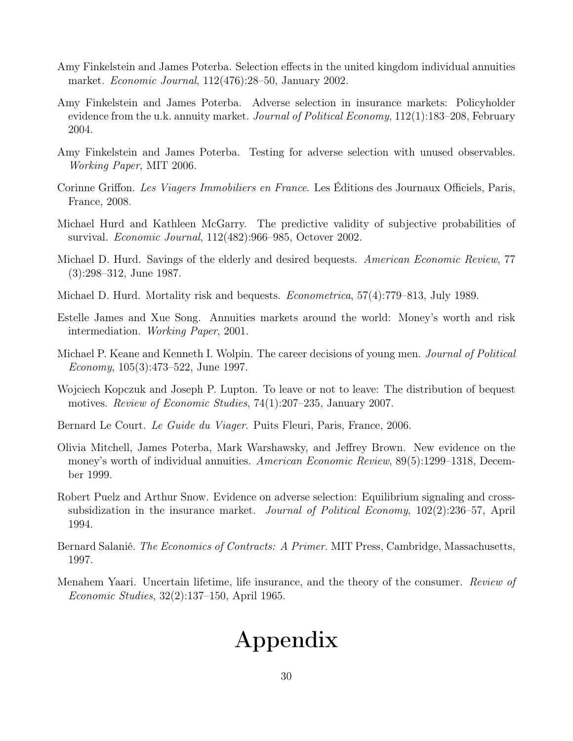- Amy Finkelstein and James Poterba. Selection effects in the united kingdom individual annuities market. Economic Journal, 112(476):28–50, January 2002.
- Amy Finkelstein and James Poterba. Adverse selection in insurance markets: Policyholder evidence from the u.k. annuity market. *Journal of Political Economy*, 112(1):183–208, February 2004.
- Amy Finkelstein and James Poterba. Testing for adverse selection with unused observables. Working Paper, MIT 2006.
- Corinne Griffon. Les Viagers Immobiliers en France. Les Éditions des Journaux Officiels, Paris, France, 2008.
- Michael Hurd and Kathleen McGarry. The predictive validity of subjective probabilities of survival. Economic Journal, 112(482):966–985, Octover 2002.
- Michael D. Hurd. Savings of the elderly and desired bequests. American Economic Review, 77 (3):298–312, June 1987.
- Michael D. Hurd. Mortality risk and bequests. *Econometrica*, 57(4):779–813, July 1989.
- Estelle James and Xue Song. Annuities markets around the world: Money's worth and risk intermediation. Working Paper, 2001.
- Michael P. Keane and Kenneth I. Wolpin. The career decisions of young men. *Journal of Political* Economy, 105(3):473–522, June 1997.
- Wojciech Kopczuk and Joseph P. Lupton. To leave or not to leave: The distribution of bequest motives. Review of Economic Studies, 74(1):207–235, January 2007.
- Bernard Le Court. Le Guide du Viager. Puits Fleuri, Paris, France, 2006.
- Olivia Mitchell, James Poterba, Mark Warshawsky, and Jeffrey Brown. New evidence on the money's worth of individual annuities. American Economic Review, 89(5):1299–1318, December 1999.
- Robert Puelz and Arthur Snow. Evidence on adverse selection: Equilibrium signaling and crosssubsidization in the insurance market. *Journal of Political Economy*,  $102(2):236-57$ , April 1994.
- Bernard Salanié. The Economics of Contracts: A Primer. MIT Press, Cambridge, Massachusetts, 1997.
- Menahem Yaari. Uncertain lifetime, life insurance, and the theory of the consumer. Review of Economic Studies, 32(2):137–150, April 1965.

# Appendix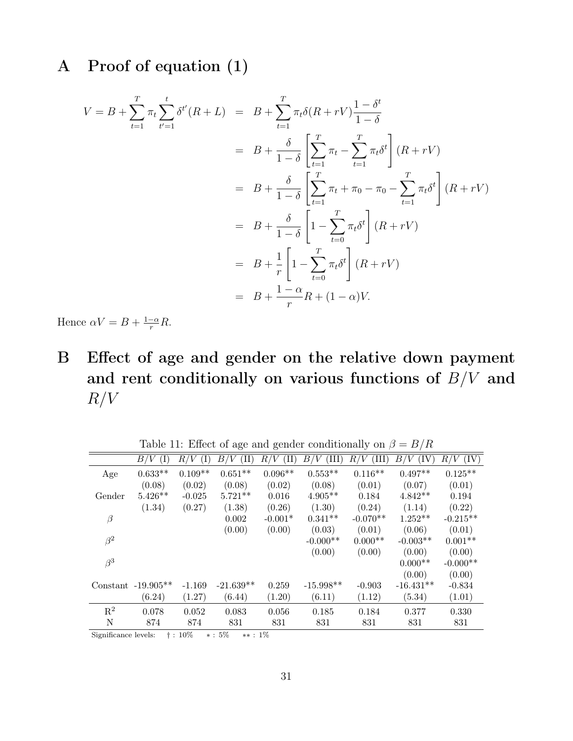# A Proof of equation (1)

$$
V = B + \sum_{t=1}^{T} \pi_t \sum_{t'=1}^{t} \delta^{t'}(R + L) = B + \sum_{t=1}^{T} \pi_t \delta(R + rV) \frac{1 - \delta^{t}}{1 - \delta}
$$
  
\n
$$
= B + \frac{\delta}{1 - \delta} \left[ \sum_{t=1}^{T} \pi_t - \sum_{t=1}^{T} \pi_t \delta^{t} \right] (R + rV)
$$
  
\n
$$
= B + \frac{\delta}{1 - \delta} \left[ \sum_{t=1}^{T} \pi_t + \pi_0 - \pi_0 - \sum_{t=1}^{T} \pi_t \delta^{t} \right] (R + rV)
$$
  
\n
$$
= B + \frac{\delta}{1 - \delta} \left[ 1 - \sum_{t=0}^{T} \pi_t \delta^{t} \right] (R + rV)
$$
  
\n
$$
= B + \frac{1}{r} \left[ 1 - \sum_{t=0}^{T} \pi_t \delta^{t} \right] (R + rV)
$$
  
\n
$$
= B + \frac{1 - \alpha}{r} R + (1 - \alpha)V.
$$

Hence  $\alpha V = B + \frac{1-\alpha}{r}R$ .

B Effect of age and gender on the relative down payment and rent conditionally on various functions of  $B/V$  and  $R/V$ 

Table 11: Effect of age and gender conditionally on  $\beta = B/R$ 

|                | (I)<br>B/V           | R/V<br>(I) | (II)<br>B/V | (II)<br>R/V | (III)<br>B/V | $\rm (III)$<br>R/ | (IV)<br>B/V | (IV)<br>R/V |
|----------------|----------------------|------------|-------------|-------------|--------------|-------------------|-------------|-------------|
| Age            | $0.633**$            | $0.109**$  | $0.651**$   | $0.096**$   | $0.553**$    | $0.116**$         | $0.497**$   | $0.125**$   |
|                | (0.08)               | (0.02)     | (0.08)      | (0.02)      | (0.08)       | (0.01)            | (0.07)      | (0.01)      |
| Gender         | $5.426**$            | $-0.025$   | $5.721**$   | 0.016       | $4.905**$    | 0.184             | $4.842**$   | 0.194       |
|                | (1.34)               | (0.27)     | (1.38)      | (0.26)      | (1.30)       | (0.24)            | (1.14)      | (0.22)      |
| $\beta$        |                      |            | 0.002       | $-0.001*$   | $0.341**$    | $-0.070**$        | $1.252**$   | $-0.215**$  |
|                |                      |            | (0.00)      | (0.00)      | (0.03)       | (0.01)            | (0.06)      | (0.01)      |
| $\beta^2$      |                      |            |             |             | $-0.000**$   | $0.000**$         | $-0.003**$  | $0.001**$   |
|                |                      |            |             |             | (0.00)       | (0.00)            | (0.00)      | (0.00)      |
| $\beta^3$      |                      |            |             |             |              |                   | $0.000**$   | $-0.000**$  |
|                |                      |            |             |             |              |                   | (0.00)      | (0.00)      |
|                | Constant $-19.905**$ | $-1.169$   | $-21.639**$ | 0.259       | $-15.998**$  | $-0.903$          | $-16.431**$ | $-0.834$    |
|                | (6.24)               | (1.27)     | (6.44)      | (1.20)      | (6.11)       | (1.12)            | (5.34)      | (1.01)      |
| $\mathbf{R}^2$ | 0.078                | 0.052      | 0.083       | 0.056       | 0.185        | 0.184             | 0.377       | 0.330       |
| N              | 874                  | 874        | 831         | 831         | 831          | 831               | 831         | 831         |

Significance levels: † : 10% ∗ : 5% ∗∗ : 1%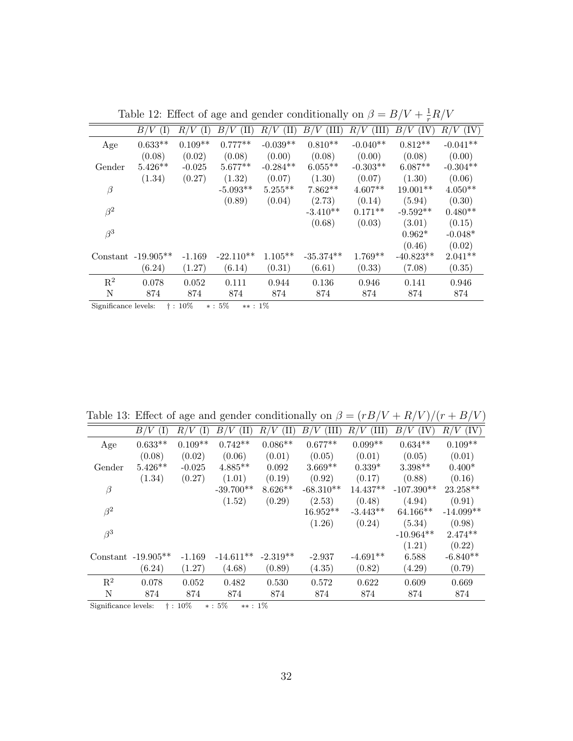|                | $(\mathrm{I})$<br>'V<br>B/ | (I)<br>R/V | (II)<br>B/  | (II)<br>$_{R/}$<br>'V | (III)<br>B / | (III)<br>R/ | (IV)<br>'V<br>$_{B}$ / | (IV)<br>R/V |
|----------------|----------------------------|------------|-------------|-----------------------|--------------|-------------|------------------------|-------------|
| Age            | $0.633**$                  | $0.109**$  | $0.777**$   | $-0.039**$            | $0.810**$    | $-0.040**$  | $0.812**$              | $-0.041**$  |
|                | (0.08)                     | (0.02)     | (0.08)      | (0.00)                | (0.08)       | (0.00)      | (0.08)                 | (0.00)      |
| Gender         | $5.426**$                  | $-0.025$   | $5.677**$   | $-0.284**$            | $6.055**$    | $-0.303**$  | $6.087**$              | $-0.304**$  |
|                | (1.34)                     | (0.27)     | (1.32)      | (0.07)                | (1.30)       | (0.07)      | (1.30)                 | (0.06)      |
| $\beta$        |                            |            | $-5.093**$  | $5.255***$            | $7.862**$    | $4.607**$   | $19.001**$             | $4.050**$   |
|                |                            |            | (0.89)      | (0.04)                | (2.73)       | (0.14)      | (5.94)                 | (0.30)      |
| $\beta^2$      |                            |            |             |                       | $-3.410**$   | $0.171**$   | $-9.592**$             | $0.480**$   |
|                |                            |            |             |                       | (0.68)       | (0.03)      | (3.01)                 | (0.15)      |
| $\beta^3$      |                            |            |             |                       |              |             | $0.962*$               | $-0.048*$   |
|                |                            |            |             |                       |              |             | (0.46)                 | (0.02)      |
|                | Constant $-19.905**$       | $-1.169$   | $-22.110**$ | $1.105**$             | $-35.374**$  | $1.769**$   | $-40.823**$            | $2.041**$   |
|                | (6.24)                     | (1.27)     | (6.14)      | (0.31)                | (6.61)       | (0.33)      | (7.08)                 | (0.35)      |
| $\mathbf{R}^2$ | 0.078                      | 0.052      | 0.111       | 0.944                 | 0.136        | 0.946       | 0.141                  | 0.946       |
| N              | 874                        | 874        | 874         | 874                   | 874          | 874         | 874                    | 874         |
|                |                            |            |             |                       |              |             |                        |             |

Table 12: Effect of age and gender conditionally on  $\beta = B/V + \frac{1}{r}R/V$ 

Significance levels: † : 10% ∗ : 5% ∗∗ : 1%

Table 13: Effect of age and gender conditionally on  $\beta = (rB/V + R/V)/(r + B/V)$ 

|                | (I)<br>B/V           | R/V<br>$(\mathrm{I})$ | (II)<br>$_{B/}$ | 'V<br>$(\mathrm{II})$<br>$_{R/}$ | (III)<br>$B\prime$<br>'V | R/V<br>(III) | $^{\prime}V$<br>B/<br>(IV) | (IV)<br>R/V |
|----------------|----------------------|-----------------------|-----------------|----------------------------------|--------------------------|--------------|----------------------------|-------------|
| Age            | $0.633**$            | $0.109**$             | $0.742**$       | $0.086**$                        | $0.677**$                | $0.099**$    | $0.634**$                  | $0.109**$   |
|                | (0.08)               | (0.02)                | (0.06)          | (0.01)                           | (0.05)                   | (0.01)       | (0.05)                     | (0.01)      |
| Gender         | $5.426**$            | $-0.025$              | $4.885**$       | 0.092                            | $3.669**$                | $0.339*$     | $3.398**$                  | $0.400*$    |
|                | (1.34)               | (0.27)                | (1.01)          | (0.19)                           | (0.92)                   | (0.17)       | (0.88)                     | (0.16)      |
| $\beta$        |                      |                       | $-39.700**$     | $8.626**$                        | $-68.310**$              | 14.437**     | $-107.390**$               | 23.258**    |
|                |                      |                       | (1.52)          | (0.29)                           | (2.53)                   | (0.48)       | (4.94)                     | (0.91)      |
| $\beta^2$      |                      |                       |                 |                                  | $16.952**$               | $-3.443**$   | $64.166**$                 | $-14.099**$ |
|                |                      |                       |                 |                                  | (1.26)                   | (0.24)       | (5.34)                     | (0.98)      |
| $\beta^3$      |                      |                       |                 |                                  |                          |              | $-10.964**$                | $2.474**$   |
|                |                      |                       |                 |                                  |                          |              | (1.21)                     | (0.22)      |
|                | Constant $-19.905**$ | $-1.169$              | $-14.611**$     | $-2.319**$                       | $-2.937$                 | $-4.691**$   | 6.588                      | $-6.840**$  |
|                | (6.24)               | (1.27)                | (4.68)          | (0.89)                           | (4.35)                   | (0.82)       | (4.29)                     | (0.79)      |
| $\mathbf{R}^2$ | 0.078                | 0.052                 | 0.482           | 0.530                            | 0.572                    | 0.622        | 0.609                      | 0.669       |
| N              | 874                  | 874                   | 874             | 874                              | 874                      | 874          | 874                        | 874         |

Significance levels:  $\dagger$  : 10%  $*$  : 5%  $*$  : 1%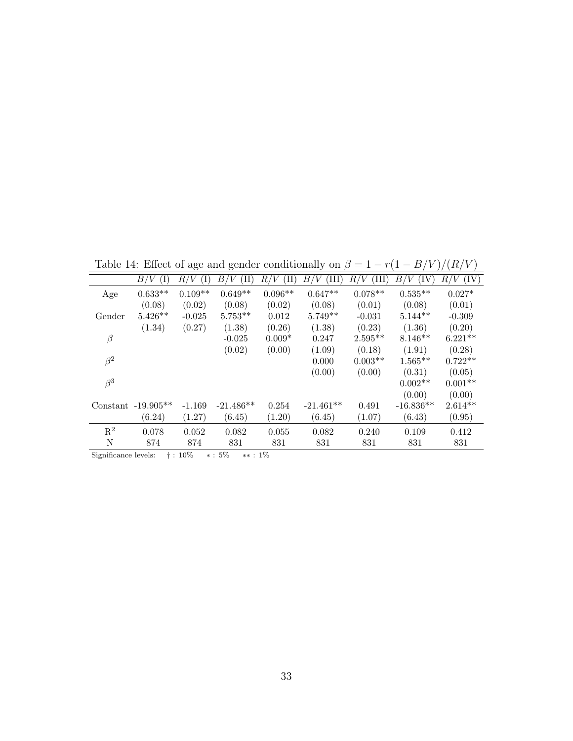Table 14: Effect of age and gender conditionally on  $\beta = 1 - r(1 - B/V)/(R/V)$ 

|                | (I)<br>B/V           | R/V<br>(I) | (II)<br>B/V | (II)<br>R/V | B/V<br>(III) | (III)<br>R/<br>'V | (IV)<br>B/V | (IV)<br>R/<br>V |
|----------------|----------------------|------------|-------------|-------------|--------------|-------------------|-------------|-----------------|
| Age            | $0.633**$            | $0.109**$  | $0.649**$   | $0.096**$   | $0.647**$    | $0.078**$         | $0.535**$   | $0.027*$        |
|                | (0.08)               | (0.02)     | (0.08)      | (0.02)      | (0.08)       | (0.01)            | (0.08)      | (0.01)          |
| Gender         | $5.426**$            | $-0.025$   | $5.753**$   | 0.012       | $5.749**$    | $-0.031$          | $5.144**$   | $-0.309$        |
|                | (1.34)               | (0.27)     | (1.38)      | (0.26)      | (1.38)       | (0.23)            | (1.36)      | (0.20)          |
| $\beta$        |                      |            | $-0.025$    | $0.009*$    | 0.247        | $2.595**$         | $8.146**$   | $6.221**$       |
|                |                      |            | (0.02)      | (0.00)      | (1.09)       | (0.18)            | (1.91)      | (0.28)          |
| $\beta^2$      |                      |            |             |             | 0.000        | $0.003**$         | $1.565**$   | $0.722**$       |
|                |                      |            |             |             | (0.00)       | (0.00)            | (0.31)      | (0.05)          |
| $\beta^3$      |                      |            |             |             |              |                   | $0.002**$   | $0.001**$       |
|                |                      |            |             |             |              |                   | (0.00)      | (0.00)          |
|                | Constant $-19.905**$ | $-1.169$   | $-21.486**$ | 0.254       | $-21.461**$  | 0.491             | $-16.836**$ | $2.614**$       |
|                | (6.24)               | (1.27)     | (6.45)      | (1.20)      | (6.45)       | (1.07)            | (6.43)      | (0.95)          |
| $\mathbf{R}^2$ | 0.078                | 0.052      | 0.082       | 0.055       | 0.082        | 0.240             | 0.109       | 0.412           |
| N              | 874                  | 874        | 831         | 831         | 831          | 831               | 831         | 831             |

Significance levels: † : 10% ∗ : 5% ∗∗ : 1%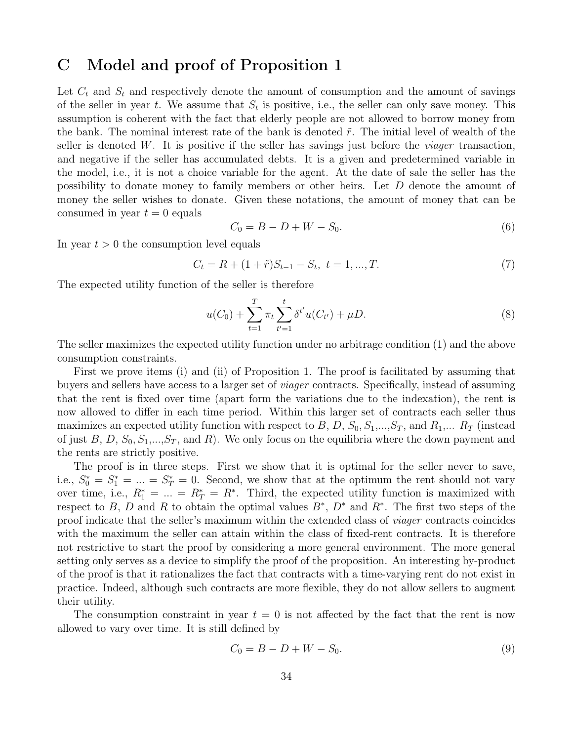### C Model and proof of Proposition 1

Let  $C_t$  and  $S_t$  and respectively denote the amount of consumption and the amount of savings of the seller in year t. We assume that  $S_t$  is positive, i.e., the seller can only save money. This assumption is coherent with the fact that elderly people are not allowed to borrow money from the bank. The nominal interest rate of the bank is denoted  $\tilde{r}$ . The initial level of wealth of the seller is denoted W. It is positive if the seller has savings just before the *viager* transaction, and negative if the seller has accumulated debts. It is a given and predetermined variable in the model, i.e., it is not a choice variable for the agent. At the date of sale the seller has the possibility to donate money to family members or other heirs. Let D denote the amount of money the seller wishes to donate. Given these notations, the amount of money that can be consumed in year  $t = 0$  equals

$$
C_0 = B - D + W - S_0. \t\t(6)
$$

In year  $t > 0$  the consumption level equals

$$
C_t = R + (1 + \tilde{r})S_{t-1} - S_t, \ t = 1, ..., T.
$$
\n<sup>(7)</sup>

The expected utility function of the seller is therefore

$$
u(C_0) + \sum_{t=1}^{T} \pi_t \sum_{t'=1}^{t} \delta^{t'} u(C_{t'}) + \mu D.
$$
 (8)

The seller maximizes the expected utility function under no arbitrage condition (1) and the above consumption constraints.

First we prove items (i) and (ii) of Proposition 1. The proof is facilitated by assuming that buyers and sellers have access to a larger set of viager contracts. Specifically, instead of assuming that the rent is fixed over time (apart form the variations due to the indexation), the rent is now allowed to differ in each time period. Within this larger set of contracts each seller thus maximizes an expected utility function with respect to B, D,  $S_0, S_1, ..., S_T$ , and  $R_1, ... R_T$  (instead of just B, D,  $S_0$ ,  $S_1$ ,..., $S_T$ , and R). We only focus on the equilibria where the down payment and the rents are strictly positive.

The proof is in three steps. First we show that it is optimal for the seller never to save, i.e.,  $S_0^* = S_1^* = ... = S_T^* = 0$ . Second, we show that at the optimum the rent should not vary over time, i.e.,  $R_1^* = ... = R_T^* = R^*$ . Third, the expected utility function is maximized with respect to B, D and R to obtain the optimal values  $B^*, D^*$  and  $R^*$ . The first two steps of the proof indicate that the seller's maximum within the extended class of viager contracts coincides with the maximum the seller can attain within the class of fixed-rent contracts. It is therefore not restrictive to start the proof by considering a more general environment. The more general setting only serves as a device to simplify the proof of the proposition. An interesting by-product of the proof is that it rationalizes the fact that contracts with a time-varying rent do not exist in practice. Indeed, although such contracts are more flexible, they do not allow sellers to augment their utility.

The consumption constraint in year  $t = 0$  is not affected by the fact that the rent is now allowed to vary over time. It is still defined by

$$
C_0 = B - D + W - S_0. \t\t(9)
$$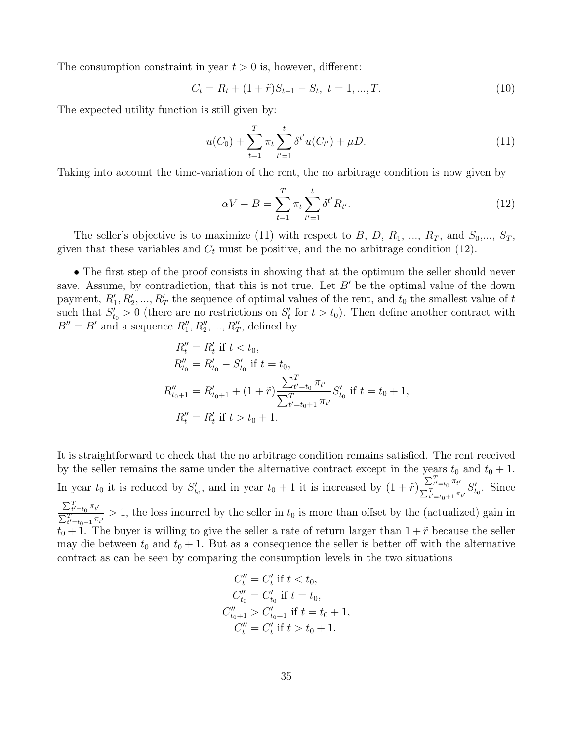The consumption constraint in year  $t > 0$  is, however, different:

$$
C_t = R_t + (1 + \tilde{r})S_{t-1} - S_t, \ t = 1, ..., T.
$$
\n(10)

The expected utility function is still given by:

$$
u(C_0) + \sum_{t=1}^{T} \pi_t \sum_{t'=1}^{t} \delta^{t'} u(C_{t'}) + \mu D.
$$
\n(11)

Taking into account the time-variation of the rent, the no arbitrage condition is now given by

$$
\alpha V - B = \sum_{t=1}^{T} \pi_t \sum_{t'=1}^{t} \delta^{t'} R_{t'}.
$$
\n(12)

The seller's objective is to maximize (11) with respect to B, D,  $R_1$ , ...,  $R_T$ , and  $S_0$ ,...,  $S_T$ , given that these variables and  $C_t$  must be positive, and the no arbitrage condition (12).

• The first step of the proof consists in showing that at the optimum the seller should never save. Assume, by contradiction, that this is not true. Let  $B'$  be the optimal value of the down payment,  $R'_1, R'_2, ..., R'_T$  the sequence of optimal values of the rent, and  $t_0$  the smallest value of  $t$ such that  $S'_{t_0} > 0$  (there are no restrictions on  $S'_t$  for  $t > t_0$ ). Then define another contract with  $B'' = B'$  and a sequence  $R''_1, R''_2, ..., R''_T$ , defined by

$$
R''_t = R'_t \text{ if } t < t_0,
$$
  
\n
$$
R''_{t_0} = R'_{t_0} - S'_{t_0} \text{ if } t = t_0,
$$
  
\n
$$
R''_{t_0+1} = R'_{t_0+1} + (1 + \tilde{r}) \frac{\sum_{t'=t_0}^{T} \pi_{t'}}{\sum_{t'=t_0+1}^{T} \pi_{t'}} S'_{t_0} \text{ if } t = t_0 + 1,
$$
  
\n
$$
R''_t = R'_t \text{ if } t > t_0 + 1.
$$

It is straightforward to check that the no arbitrage condition remains satisfied. The rent received by the seller remains the same under the alternative contract except in the years  $t_0$  and  $t_0 + 1$ . In year  $t_0$  it is reduced by  $S'_{t_0}$ , and in year  $t_0 + 1$  it is increased by  $(1 + \tilde{r}) \frac{\sum_{t'=t_0}^{T} \pi_{t'}}{\sum_{t'=t_0}^{T} \pi_{t'}}$  $\frac{\sum_{t'=t_0}^{T} \sum_{t''=t_0+1}^{n} \pi_{t'}}{\sum_{t'=t_0+1}^{T} \pi_{t'}} S'_{t_0}$ . Since  $\sum_{t'=t_0}^T \pi_{t'}$  $\frac{2t'-t_0-t'}{\sum_{t'=t_0+1}^{T} \pi_{t'}} > 1$ , the loss incurred by the seller in  $t_0$  is more than offset by the (actualized) gain in  $t_0 + 1$ . The buyer is willing to give the seller a rate of return larger than  $1 + \tilde{r}$  because the seller may die between  $t_0$  and  $t_0 + 1$ . But as a consequence the seller is better off with the alternative contract as can be seen by comparing the consumption levels in the two situations

$$
C''_t = C'_t \text{ if } t < t_0,
$$
  
\n
$$
C''_{t_0} = C'_{t_0} \text{ if } t = t_0,
$$
  
\n
$$
C''_{t_0+1} > C'_{t_0+1} \text{ if } t = t_0 + 1,
$$
  
\n
$$
C''_t = C'_t \text{ if } t > t_0 + 1.
$$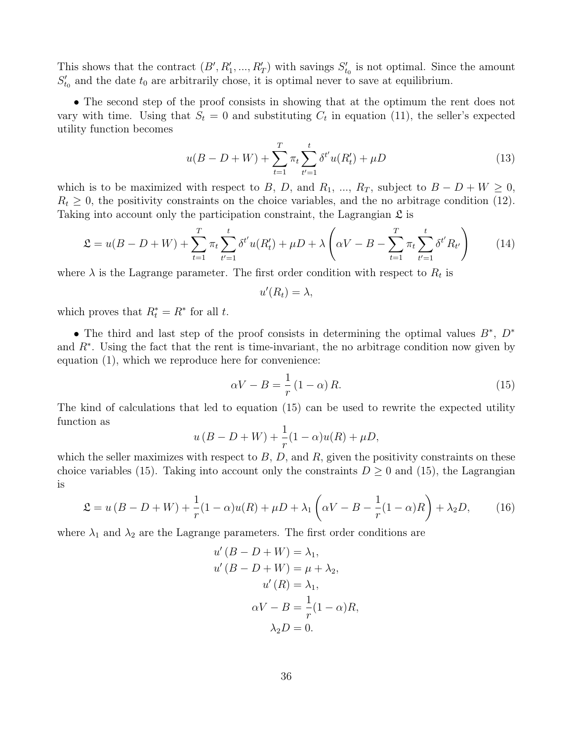This shows that the contract  $(B', R'_1, ..., R'_T)$  with savings  $S'_{t_0}$  is not optimal. Since the amount  $S'_{t_0}$  and the date  $t_0$  are arbitrarily chose, it is optimal never to save at equilibrium.

• The second step of the proof consists in showing that at the optimum the rent does not vary with time. Using that  $S_t = 0$  and substituting  $C_t$  in equation (11), the seller's expected utility function becomes

$$
u(B - D + W) + \sum_{t=1}^{T} \pi_t \sum_{t'=1}^{t} \delta^{t'} u(R'_t) + \mu D \tag{13}
$$

which is to be maximized with respect to B, D, and R<sub>1</sub>, ..., R<sub>T</sub>, subject to  $B - D + W \ge 0$ ,  $R_t \geq 0$ , the positivity constraints on the choice variables, and the no arbitrage condition (12). Taking into account only the participation constraint, the Lagrangian  $\mathfrak L$  is

$$
\mathfrak{L} = u(B - D + W) + \sum_{t=1}^{T} \pi_t \sum_{t'=1}^{t} \delta^{t'} u(R'_t) + \mu D + \lambda \left( \alpha V - B - \sum_{t=1}^{T} \pi_t \sum_{t'=1}^{t} \delta^{t'} R_{t'} \right) \tag{14}
$$

where  $\lambda$  is the Lagrange parameter. The first order condition with respect to  $R_t$  is

$$
u'(R_t) = \lambda,
$$

which proves that  $R_t^* = R^*$  for all t.

• The third and last step of the proof consists in determining the optimal values  $B^*$ ,  $D^*$ and  $R^*$ . Using the fact that the rent is time-invariant, the no arbitrage condition now given by equation (1), which we reproduce here for convenience:

$$
\alpha V - B = \frac{1}{r} \left( 1 - \alpha \right) R. \tag{15}
$$

The kind of calculations that led to equation (15) can be used to rewrite the expected utility function as

$$
u(B-D+W) + \frac{1}{r}(1-\alpha)u(R) + \mu D,
$$

which the seller maximizes with respect to  $B, D$ , and  $R$ , given the positivity constraints on these choice variables (15). Taking into account only the constraints  $D \geq 0$  and (15), the Lagrangian is

$$
\mathfrak{L} = u\left(B - D + W\right) + \frac{1}{r}(1 - \alpha)u(R) + \mu D + \lambda_1\left(\alpha V - B - \frac{1}{r}(1 - \alpha)R\right) + \lambda_2 D,\tag{16}
$$

where  $\lambda_1$  and  $\lambda_2$  are the Lagrange parameters. The first order conditions are

$$
u'(B - D + W) = \lambda_1,
$$
  
\n
$$
u'(B - D + W) = \mu + \lambda_2,
$$
  
\n
$$
u'(R) = \lambda_1,
$$
  
\n
$$
\alpha V - B = \frac{1}{r}(1 - \alpha)R,
$$
  
\n
$$
\lambda_2 D = 0.
$$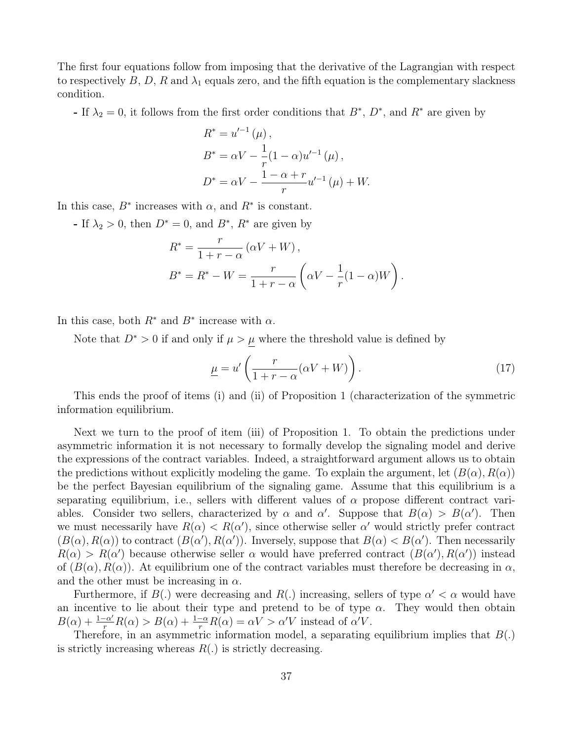The first four equations follow from imposing that the derivative of the Lagrangian with respect to respectively B, D, R and  $\lambda_1$  equals zero, and the fifth equation is the complementary slackness condition.

- If  $\lambda_2 = 0$ , it follows from the first order conditions that  $B^*$ ,  $D^*$ , and  $R^*$  are given by

$$
R^* = u'^{-1} (\mu) ,
$$
  
\n
$$
B^* = \alpha V - \frac{1}{r} (1 - \alpha) u'^{-1} (\mu) ,
$$
  
\n
$$
D^* = \alpha V - \frac{1 - \alpha + r}{r} u'^{-1} (\mu) + W.
$$

In this case,  $B^*$  increases with  $\alpha$ , and  $R^*$  is constant.

- If  $\lambda_2 > 0$ , then  $D^* = 0$ , and  $B^*$ ,  $R^*$  are given by

$$
R^* = \frac{r}{1+r-\alpha} (\alpha V + W),
$$
  
\n
$$
B^* = R^* - W = \frac{r}{1+r-\alpha} (\alpha V - \frac{1}{r}(1-\alpha)W).
$$

In this case, both  $R^*$  and  $B^*$  increase with  $\alpha$ .

Note that  $D^* > 0$  if and only if  $\mu > \mu$  where the threshold value is defined by

$$
\underline{\mu} = u' \left( \frac{r}{1+r-\alpha} (\alpha V + W) \right). \tag{17}
$$

This ends the proof of items (i) and (ii) of Proposition 1 (characterization of the symmetric information equilibrium.

Next we turn to the proof of item (iii) of Proposition 1. To obtain the predictions under asymmetric information it is not necessary to formally develop the signaling model and derive the expressions of the contract variables. Indeed, a straightforward argument allows us to obtain the predictions without explicitly modeling the game. To explain the argument, let  $(B(\alpha), R(\alpha))$ be the perfect Bayesian equilibrium of the signaling game. Assume that this equilibrium is a separating equilibrium, i.e., sellers with different values of  $\alpha$  propose different contract variables. Consider two sellers, characterized by  $\alpha$  and  $\alpha'$ . Suppose that  $B(\alpha) > B(\alpha')$ . Then we must necessarily have  $R(\alpha) < R(\alpha')$ , since otherwise seller  $\alpha'$  would strictly prefer contract  $(B(\alpha), R(\alpha))$  to contract  $(B(\alpha'), R(\alpha'))$ . Inversely, suppose that  $B(\alpha) < B(\alpha')$ . Then necessarily  $R(\alpha) > R(\alpha')$  because otherwise seller  $\alpha$  would have preferred contract  $(B(\alpha'), R(\alpha'))$  instead of  $(B(\alpha), R(\alpha))$ . At equilibrium one of the contract variables must therefore be decreasing in  $\alpha$ , and the other must be increasing in  $\alpha$ .

Furthermore, if  $B(.)$  were decreasing and  $R(.)$  increasing, sellers of type  $\alpha' < \alpha$  would have an incentive to lie about their type and pretend to be of type  $\alpha$ . They would then obtain  $B(\alpha) + \frac{1-\alpha'}{r}R(\alpha) > B(\alpha) + \frac{1-\alpha}{r}R(\alpha) = \alpha V > \alpha'V$  instead of  $\alpha'V$ .

Therefore, in an asymmetric information model, a separating equilibrium implies that  $B(.)$ is strictly increasing whereas  $R(.)$  is strictly decreasing.